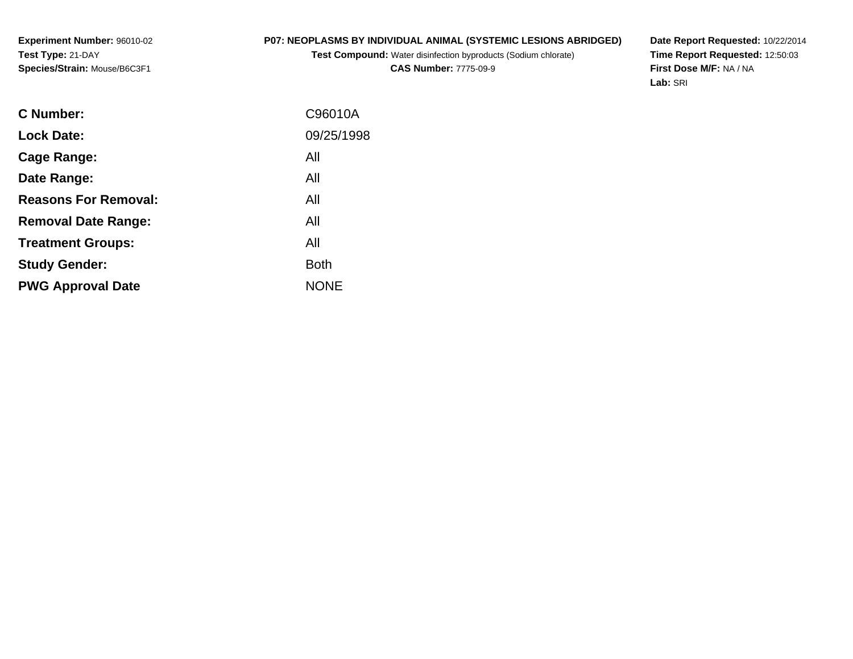## **P07: NEOPLASMS BY INDIVIDUAL ANIMAL (SYSTEMIC LESIONS ABRIDGED)**

**Test Compound:** Water disinfection byproducts (Sodium chlorate)**CAS Number:** 7775-09-9

**Date Report Requested:** 10/22/2014 **Time Report Requested:** 12:50:03**First Dose M/F:** NA / NA**Lab:** SRI

| <b>C</b> Number:            | C96010A     |
|-----------------------------|-------------|
|                             |             |
| <b>Lock Date:</b>           | 09/25/1998  |
| Cage Range:                 | All         |
| Date Range:                 | All         |
| <b>Reasons For Removal:</b> | All         |
| <b>Removal Date Range:</b>  | All         |
| <b>Treatment Groups:</b>    | All         |
| <b>Study Gender:</b>        | <b>Both</b> |
| <b>PWG Approval Date</b>    | <b>NONE</b> |
|                             |             |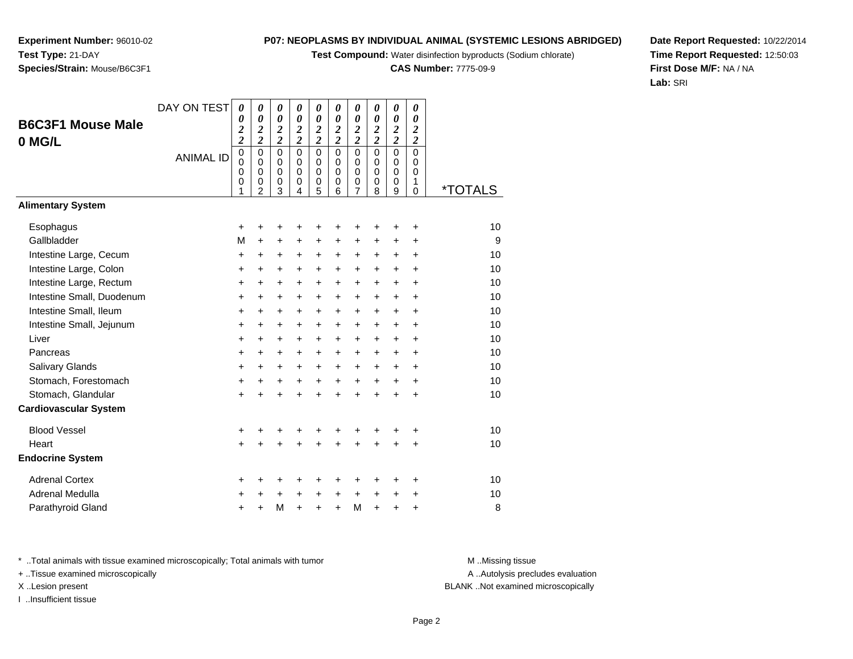**Test Compound:** Water disinfection byproducts (Sodium chlorate)

**CAS Number:** 7775-09-9

**Date Report Requested:** 10/22/2014**Time Report Requested:** 12:50:03**First Dose M/F:** NA / NA**Lab:** SRI

| DAY ON TEST | $\boldsymbol{\theta}$ | 0                                                                           | 0                                                                                                              | 0                                                                         | 0                                               | 0                                                                         | $\boldsymbol{\theta}$                                               | 0                                                                                                                           | 0                                                                                                       | 0                                                                                                     |                                                                                         |
|-------------|-----------------------|-----------------------------------------------------------------------------|----------------------------------------------------------------------------------------------------------------|---------------------------------------------------------------------------|-------------------------------------------------|---------------------------------------------------------------------------|---------------------------------------------------------------------|-----------------------------------------------------------------------------------------------------------------------------|---------------------------------------------------------------------------------------------------------|-------------------------------------------------------------------------------------------------------|-----------------------------------------------------------------------------------------|
|             | 0                     |                                                                             |                                                                                                                |                                                                           |                                                 |                                                                           |                                                                     |                                                                                                                             |                                                                                                         |                                                                                                       |                                                                                         |
|             |                       |                                                                             |                                                                                                                |                                                                           |                                                 |                                                                           |                                                                     |                                                                                                                             |                                                                                                         |                                                                                                       |                                                                                         |
|             | $\overline{0}$        | $\mathbf 0$                                                                 | $\overline{0}$                                                                                                 | $\overline{0}$                                                            | $\overline{0}$                                  | $\overline{0}$                                                            | $\overline{0}$                                                      | $\overline{0}$                                                                                                              | $\overline{0}$                                                                                          | $\overline{0}$                                                                                        |                                                                                         |
|             |                       |                                                                             |                                                                                                                |                                                                           |                                                 |                                                                           |                                                                     |                                                                                                                             |                                                                                                         |                                                                                                       |                                                                                         |
|             | 0                     | 0                                                                           | $\mathbf 0$                                                                                                    | 0                                                                         | 0                                               | 0                                                                         | $\pmb{0}$                                                           | 0                                                                                                                           | $\mathbf 0$                                                                                             | 1                                                                                                     |                                                                                         |
|             |                       |                                                                             |                                                                                                                |                                                                           |                                                 |                                                                           |                                                                     |                                                                                                                             |                                                                                                         |                                                                                                       | <i><b>*TOTALS</b></i>                                                                   |
|             |                       |                                                                             |                                                                                                                |                                                                           |                                                 |                                                                           |                                                                     |                                                                                                                             |                                                                                                         |                                                                                                       |                                                                                         |
|             | $\ddot{}$             | +                                                                           | +                                                                                                              | +                                                                         | +                                               | +                                                                         | +                                                                   | +                                                                                                                           | ٠                                                                                                       | +                                                                                                     | 10                                                                                      |
|             | M                     | $\ddot{}$                                                                   | +                                                                                                              | $\pm$                                                                     | +                                               | $\ddot{}$                                                                 | +                                                                   | $\ddot{}$                                                                                                                   | $\ddot{}$                                                                                               | +                                                                                                     | 9                                                                                       |
|             | $\ddot{}$             | $\ddot{}$                                                                   | $\ddot{}$                                                                                                      | $\ddot{}$                                                                 | +                                               | $\ddot{}$                                                                 | $\ddot{}$                                                           | $\ddot{}$                                                                                                                   | $\ddot{}$                                                                                               | $\ddot{}$                                                                                             | 10                                                                                      |
|             | +                     | +                                                                           | $\ddot{}$                                                                                                      | +                                                                         | +                                               | $\ddot{}$                                                                 | $\ddot{}$                                                           | $\ddot{}$                                                                                                                   | $\ddot{}$                                                                                               | $\ddot{}$                                                                                             | 10                                                                                      |
|             | $\ddot{}$             | $\ddot{}$                                                                   | $\ddot{}$                                                                                                      | $\ddot{}$                                                                 | $\ddot{}$                                       | $\ddot{}$                                                                 | $+$                                                                 | $+$                                                                                                                         | $\ddot{}$                                                                                               | +                                                                                                     | 10                                                                                      |
|             | +                     | $\ddot{}$                                                                   | $\ddot{}$                                                                                                      | $\ddot{}$                                                                 | +                                               | $\ddot{}$                                                                 | $\ddot{}$                                                           | $\ddot{}$                                                                                                                   | $+$                                                                                                     | $\ddot{}$                                                                                             | 10                                                                                      |
|             | +                     | +                                                                           | $\pm$                                                                                                          | $\pm$                                                                     | $\ddot{}$                                       | +                                                                         | $\ddot{}$                                                           | $\ddot{}$                                                                                                                   | $\pm$                                                                                                   | +                                                                                                     | 10                                                                                      |
|             | +                     | $\ddot{}$                                                                   | $\ddot{}$                                                                                                      | $\ddot{}$                                                                 | +                                               | $\ddot{}$                                                                 | $\ddot{}$                                                           | $\ddot{}$                                                                                                                   | $\ddot{}$                                                                                               | $\ddot{}$                                                                                             | 10                                                                                      |
|             | +                     | +                                                                           | +                                                                                                              | $\pm$                                                                     | +                                               | $\ddot{}$                                                                 | $\ddot{}$                                                           | $\ddot{}$                                                                                                                   | $\ddot{}$                                                                                               | +                                                                                                     | 10                                                                                      |
|             | +                     | $\ddot{}$                                                                   | $\ddot{}$                                                                                                      | +                                                                         | $\ddot{}$                                       | $\ddot{}$                                                                 | $\ddot{}$                                                           | $\ddot{}$                                                                                                                   | $\ddot{}$                                                                                               | $\ddot{}$                                                                                             | 10                                                                                      |
|             | +                     | $\ddot{}$                                                                   | +                                                                                                              | +                                                                         | +                                               | $\ddot{}$                                                                 | $\ddot{}$                                                           | $\ddot{}$                                                                                                                   | +                                                                                                       | +                                                                                                     | 10                                                                                      |
|             | +                     | $\ddot{}$                                                                   | $\ddot{}$                                                                                                      | $\ddot{}$                                                                 | $\ddot{}$                                       | $\ddot{}$                                                                 | $+$                                                                 | $\ddot{}$                                                                                                                   | $+$                                                                                                     | $\ddot{}$                                                                                             | 10                                                                                      |
|             | $\ddot{}$             | $\ddot{}$                                                                   | $\ddot{}$                                                                                                      | $\ddot{}$                                                                 | $\ddot{}$                                       | $\ddot{}$                                                                 | $\ddot{}$                                                           | $\ddot{}$                                                                                                                   | $\ddot{}$                                                                                               | +                                                                                                     | 10                                                                                      |
|             |                       |                                                                             |                                                                                                                |                                                                           |                                                 |                                                                           |                                                                     |                                                                                                                             |                                                                                                         |                                                                                                       |                                                                                         |
|             | +                     | +                                                                           | +                                                                                                              | +                                                                         | +                                               | +                                                                         |                                                                     | +                                                                                                                           | +                                                                                                       | +                                                                                                     | 10                                                                                      |
|             | $+$                   | $\ddot{}$                                                                   | $\ddot{}$                                                                                                      | $\ddot{}$                                                                 | $\ddot{}$                                       | $\ddot{}$                                                                 | $\ddot{}$                                                           | $\ddot{}$                                                                                                                   | +                                                                                                       | +                                                                                                     | 10                                                                                      |
|             |                       |                                                                             |                                                                                                                |                                                                           |                                                 |                                                                           |                                                                     |                                                                                                                             |                                                                                                         |                                                                                                       |                                                                                         |
|             | +                     | +                                                                           | +                                                                                                              |                                                                           |                                                 | +                                                                         |                                                                     |                                                                                                                             | ٠                                                                                                       | +                                                                                                     | 10                                                                                      |
|             | +                     | ٠                                                                           | +                                                                                                              | +                                                                         | +                                               | +                                                                         | $\ddot{}$                                                           | $\ddot{}$                                                                                                                   | +                                                                                                       | +                                                                                                     | 10                                                                                      |
|             | $\pm$                 | +                                                                           | M                                                                                                              | $\ddot{}$                                                                 | $\ddot{}$                                       | $\ddot{}$                                                                 | M                                                                   | $\ddot{}$                                                                                                                   | +                                                                                                       | +                                                                                                     | 8                                                                                       |
|             | <b>ANIMAL ID</b>      | $\overline{\mathbf{c}}$<br>$\overline{\mathbf{c}}$<br>$\mathbf 0$<br>0<br>1 | $\boldsymbol{\theta}$<br>$\boldsymbol{2}$<br>$\overline{\mathbf{c}}$<br>$\Omega$<br>$\Omega$<br>$\overline{2}$ | $\boldsymbol{\theta}$<br>$\frac{2}{2}$<br>$\mathbf 0$<br>$\mathbf 0$<br>3 | 0<br>$\frac{2}{2}$<br>$\Omega$<br>$\Omega$<br>4 | $\boldsymbol{\theta}$<br>$\frac{2}{2}$<br>$\mathbf 0$<br>$\mathbf 0$<br>5 | $\boldsymbol{\theta}$<br>$\frac{2}{2}$<br>$\Omega$<br>$\Omega$<br>6 | $\boldsymbol{\theta}$<br>$\overline{\mathbf{c}}$<br>$\overline{\mathbf{c}}$<br>$\mathbf 0$<br>$\mathbf 0$<br>$\overline{7}$ | $\boldsymbol{\theta}$<br>$\boldsymbol{2}$<br>$\overline{\mathbf{c}}$<br>$\mathbf 0$<br>$\mathbf 0$<br>8 | $\boldsymbol{\theta}$<br>$\overline{\mathbf{c}}$<br>$\overline{c}$<br>$\mathbf 0$<br>$\mathbf 0$<br>9 | $\theta$<br>$\boldsymbol{2}$<br>$\boldsymbol{2}$<br>$\Omega$<br>$\Omega$<br>$\mathbf 0$ |

\* ..Total animals with tissue examined microscopically; Total animals with tumor **M** . Missing tissue M ..Missing tissue

+ ..Tissue examined microscopically

I ..Insufficient tissue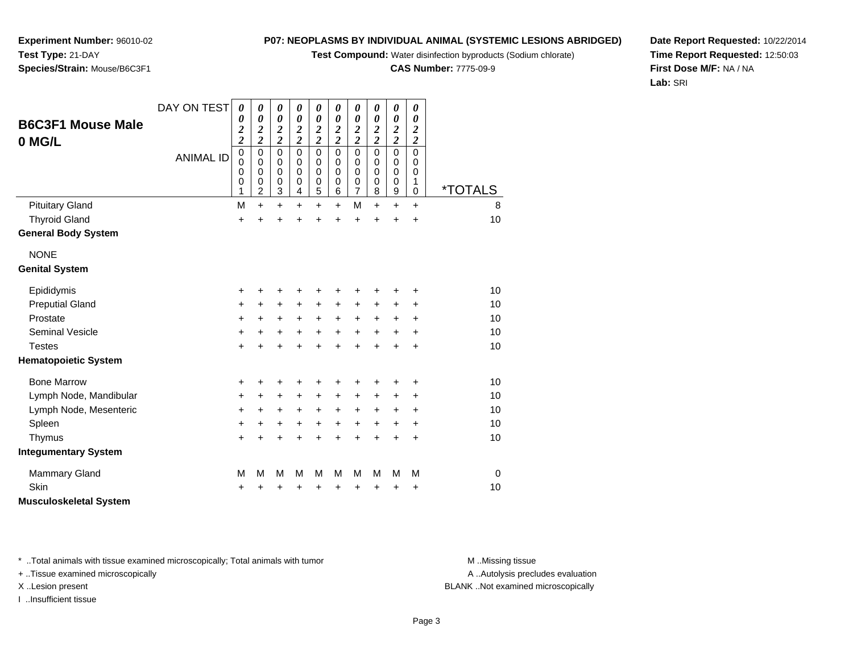**Test Compound:** Water disinfection byproducts (Sodium chlorate)

**CAS Number:** 7775-09-9

0 \*TOTALS

**Date Report Requested:** 10/22/2014**Time Report Requested:** 12:50:03**First Dose M/F:** NA / NA**Lab:** SRI

Page 3

A .. Autolysis precludes evaluation

\* ..Total animals with tissue examined microscopically; Total animals with tumor **M** ..Missing tissue M ..Missing tissue

DAY ON TEST

*0*

*0*

0<br>0<br>0<br>0<br>9

0<br>0<br>0<br>0<br>8

*0 2 2*

0<br>0<br>6<br>6

0<br>0<br>0<br>5<br>5

0<br>0<br>0<br>4

0<br>0<br>0<br>3<br>3

*0 2 2*

0<br>0<br>0<br>0<br>2

0<br>0<br>0<br>0<br>1

ANIMAL ID

+ ..Tissue examined microscopically

I ..Insufficient tissue

| <b>Pituitary Gland</b>      | M         | +         | ٠         | ÷         | ÷         | $\pm$     | M         | $\ddot{}$ | ÷         | ÷         | 8  |
|-----------------------------|-----------|-----------|-----------|-----------|-----------|-----------|-----------|-----------|-----------|-----------|----|
| <b>Thyroid Gland</b>        | $\ddot{}$ | $\pm$     | $\ddot{}$ | $\ddot{}$ | $\ddot{}$ | $\ddot{}$ | $\ddot{}$ | $+$       | $\ddot{}$ | $\ddot{}$ | 10 |
| <b>General Body System</b>  |           |           |           |           |           |           |           |           |           |           |    |
| <b>NONE</b>                 |           |           |           |           |           |           |           |           |           |           |    |
| <b>Genital System</b>       |           |           |           |           |           |           |           |           |           |           |    |
| Epididymis                  | $\ddot{}$ | +         | +         | +         | +         | ٠         | ٠         | ÷         | +         | ÷         | 10 |
| <b>Preputial Gland</b>      | $\ddot{}$ | $+$       | $\ddot{}$ | $+$       | $\ddot{}$ | $+$       | $\ddot{}$ | $\ddot{}$ | $\ddot{}$ | $\ddot{}$ | 10 |
| Prostate                    | $\ddot{}$ | $\ddot{}$ | $\ddot{}$ | $\ddot{}$ | $\ddot{}$ | $\ddot{}$ | $\ddot{}$ | $\ddot{}$ | $\ddot{}$ | $\ddot{}$ | 10 |
| <b>Seminal Vesicle</b>      | $\ddot{}$ | $\ddot{}$ | $\ddot{}$ | $\ddot{}$ | $\ddot{}$ | $\ddot{}$ | $\ddot{}$ | $\ddot{}$ | $\ddot{}$ | $\ddot{}$ | 10 |
| <b>Testes</b>               | +         | $\pm$     | +         | $\ddot{}$ | $\ddot{}$ | $\ddot{}$ | $\ddot{}$ | $\ddot{}$ | $\ddot{}$ | $\ddot{}$ | 10 |
| <b>Hematopoietic System</b> |           |           |           |           |           |           |           |           |           |           |    |
| <b>Bone Marrow</b>          | $\ddot{}$ | +         | +         | +         | +         | +         | +         | ٠         | $\ddot{}$ | ٠         | 10 |
| Lymph Node, Mandibular      | $\ddot{}$ | $\ddot{}$ | $\ddot{}$ | $\ddot{}$ | $\ddot{}$ | $\ddot{}$ | $\ddot{}$ | $\ddot{}$ | $\ddot{}$ | +         | 10 |
| Lymph Node, Mesenteric      | $\ddot{}$ | $+$       | $\ddot{}$ | $\ddot{}$ | $\ddot{}$ | $\ddot{}$ | $\ddot{}$ | $\ddot{}$ | $\ddot{}$ | $\ddot{}$ | 10 |
| Spleen                      | +         | $\ddot{}$ | $\ddot{}$ | $\ddot{}$ | $\ddot{}$ | $\ddot{}$ | $\ddot{}$ | $\ddot{}$ | $\ddot{}$ | $\ddot{}$ | 10 |
| Thymus                      | $\ddot{}$ | +         | +         | +         | $\ddot{}$ | $\ddot{}$ | +         | +         | +         | +         | 10 |
| Integumentary System        |           |           |           |           |           |           |           |           |           |           |    |
| <b>Mammary Gland</b>        | М         | М         | М         | М         | М         | M         | M         | M         | M         | M         | 0  |
| Skin                        | $\ddot{}$ | +         | +         | +         | $\ddot{}$ | $\pm$     | +         | $\ddot{}$ | +         | $\ddot{}$ | 10 |
| Musculoskeletal System      |           |           |           |           |           |           |           |           |           |           |    |

## **Experiment Number:** 96010-02**Test Type:** 21-DAY**Species/Strain:** Mouse/B6C3F1

**B6C3F1 Mouse Male**

**0 MG/L**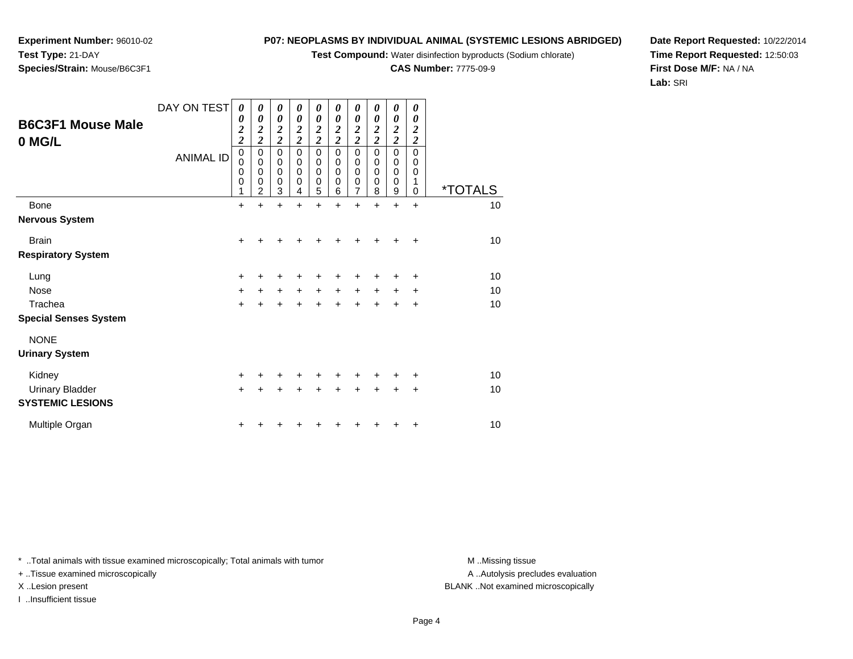**Test Compound:** Water disinfection byproducts (Sodium chlorate)

**CAS Number:** 7775-09-9

**Date Report Requested:** 10/22/2014**Time Report Requested:** 12:50:03**First Dose M/F:** NA / NA**Lab:** SRI

+ ..Tissue examined microscopically

I ..Insufficient tissue

A ..Autolysis precludes evaluation X ..Lesion present BLANK ..Not examined microscopically

| Test Type: 21-DAY            |
|------------------------------|
| Species/Strain: Mouse/B6C3F1 |
|                              |
|                              |

DAY ON TEST

*0*

*0*

*0 2 2*

*0*

*0*

*0*

*0 2 2*

*0*

0 0

*0 2 2*

0 0

0 0

0 0

*0 2 2*

0 0

*0 2 2*

0 0

0 0

0 0

0 0

*0 2 2*

0 0

ANIMAL ID

|                              | 0         | 0                | 0                | 0                | 0                | 0                | 0                | 0                | 0                | 0         |                       |
|------------------------------|-----------|------------------|------------------|------------------|------------------|------------------|------------------|------------------|------------------|-----------|-----------------------|
|                              | 0<br>1    | $\mathsf 0$<br>2 | $\mathbf 0$<br>3 | $\mathbf 0$<br>4 | $\mathbf 0$<br>5 | $\mathbf 0$<br>6 | $\mathbf 0$<br>7 | $\mathbf 0$<br>8 | $\mathbf 0$<br>9 | 1<br>0    | <i><b>*TOTALS</b></i> |
| <b>Bone</b>                  | $+$       | $\ddot{}$        | $\ddot{}$        | +                | $\ddot{}$        | $\ddot{}$        | $\ddot{}$        | $\ddot{}$        | $\ddot{}$        | $\ddot{}$ | 10                    |
| <b>Nervous System</b>        |           |                  |                  |                  |                  |                  |                  |                  |                  |           |                       |
| <b>Brain</b>                 | $\ddot{}$ |                  | +                | +                |                  | $\ddot{}$        |                  | +                | ٠                | +         | 10                    |
| <b>Respiratory System</b>    |           |                  |                  |                  |                  |                  |                  |                  |                  |           |                       |
| Lung                         | $+$       | ٠                | ٠                | +                | ٠                | ٠                | ٠                | ٠                | ٠                | ÷         | 10                    |
| Nose                         | $+$       | $+$              | $+$              | $+$              | $+$              | $\ddot{}$        | $+$              | $\ddot{}$        | $\pm$            | $\ddot{}$ | 10                    |
| Trachea                      | $\ddot{}$ | $\ddot{}$        | $\ddot{}$        | $\ddot{}$        | $\ddot{}$        | $\ddot{}$        | $\ddot{}$        | $\ddot{}$        | $\ddot{}$        | +         | 10                    |
| <b>Special Senses System</b> |           |                  |                  |                  |                  |                  |                  |                  |                  |           |                       |
| <b>NONE</b>                  |           |                  |                  |                  |                  |                  |                  |                  |                  |           |                       |
| <b>Urinary System</b>        |           |                  |                  |                  |                  |                  |                  |                  |                  |           |                       |
| Kidney                       | $\ddot{}$ |                  | +                | +                | +                | ÷                | ٠                |                  | ٠                | $\ddot{}$ | 10                    |
| <b>Urinary Bladder</b>       | $+$       | $\ddot{}$        | $\ddot{}$        | $\ddot{}$        | $\ddot{}$        | $\ddot{}$        | $\ddot{}$        | $\ddot{}$        | $\ddot{}$        | $\ddot{}$ | 10                    |
| <b>SYSTEMIC LESIONS</b>      |           |                  |                  |                  |                  |                  |                  |                  |                  |           |                       |
| Multiple Organ               | $\pm$     |                  |                  |                  |                  |                  |                  |                  |                  | +         | 10                    |

**Experiment Number:** 96010-02

**B6C3F1 Mouse Male**

**0 MG/L**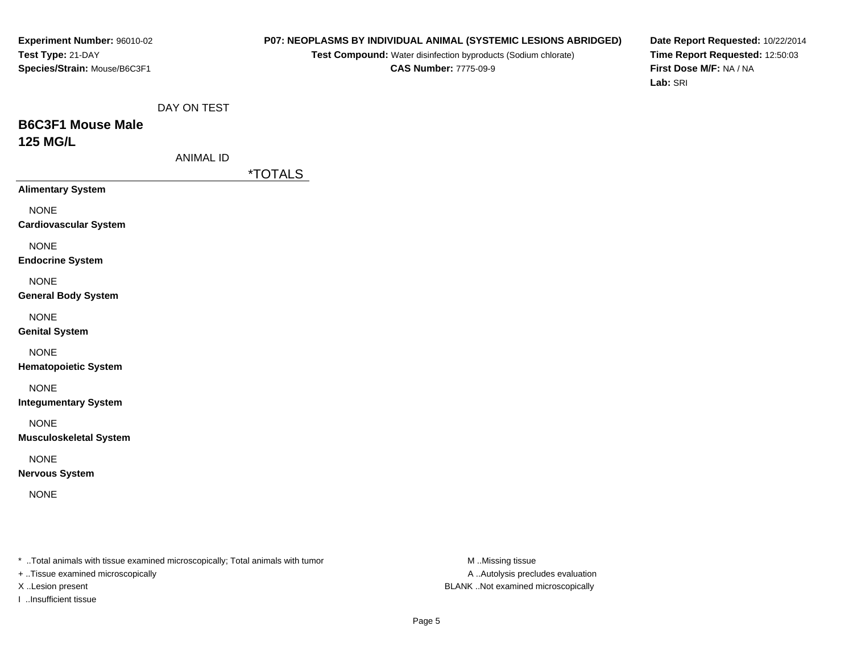#### **P07: NEOPLASMS BY INDIVIDUAL ANIMAL (SYSTEMIC LESIONS ABRIDGED)**

**Test Compound:** Water disinfection byproducts (Sodium chlorate)**CAS Number:** 7775-09-9

**Date Report Requested:** 10/22/2014**Time Report Requested:** 12:50:03**First Dose M/F:** NA / NA**Lab:** SRI

## **B6C3F1 Mouse Male125 MG/L**

| ANIMAL ID |  |
|-----------|--|
|-----------|--|

\*TOTALS

**Alimentary System**

NONE

**Cardiovascular System**

NONE

**Endocrine System**

NONE

#### **General Body System**

NONE

**Genital System**

NONE

**Hematopoietic System**

NONE

**Integumentary System**

NONE

**Musculoskeletal System**

NONE

**Nervous System**

NONE

\* ..Total animals with tissue examined microscopically; Total animals with tumor **M** ..Missing tissue M ..Missing tissue

+ ..Tissue examined microscopically

I ..Insufficient tissue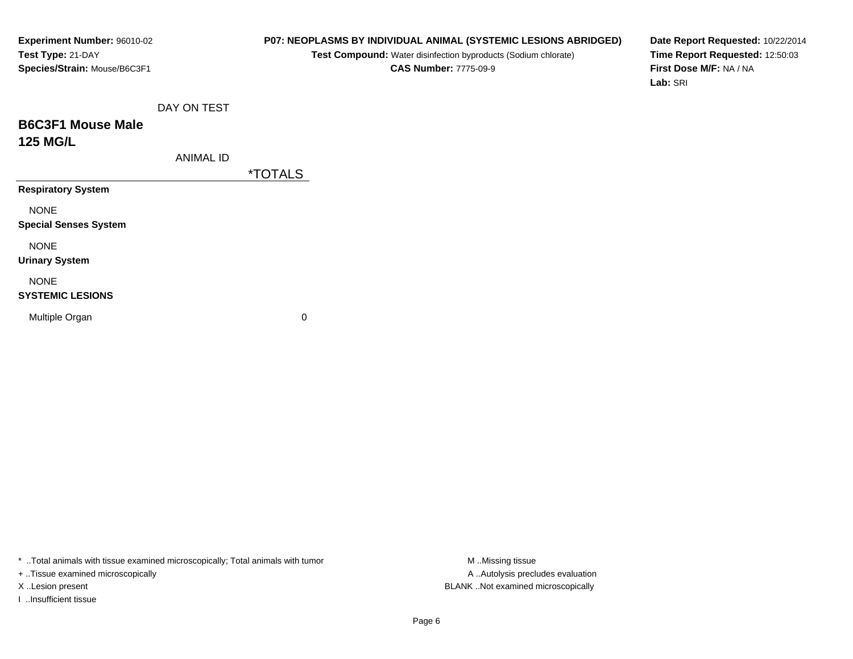## **P07: NEOPLASMS BY INDIVIDUAL ANIMAL (SYSTEMIC LESIONS ABRIDGED)**

**Test Compound:** Water disinfection byproducts (Sodium chlorate)**CAS Number:** 7775-09-9

**Date Report Requested:** 10/22/2014**Time Report Requested:** 12:50:03**First Dose M/F:** NA / NA**Lab:** SRI

## **B6C3F1 Mouse Male125 MG/L**

ANIMAL ID

\*TOTALS

**Respiratory System**

NONE

**Special Senses System**

NONE

**Urinary System**

## NONE

#### **SYSTEMIC LESIONS**

Multiple Organ

 $\mathbf n$  0

\* ..Total animals with tissue examined microscopically; Total animals with tumor **M** ...Missing tissue M ...Missing tissue

+ ..Tissue examined microscopically

I ..Insufficient tissue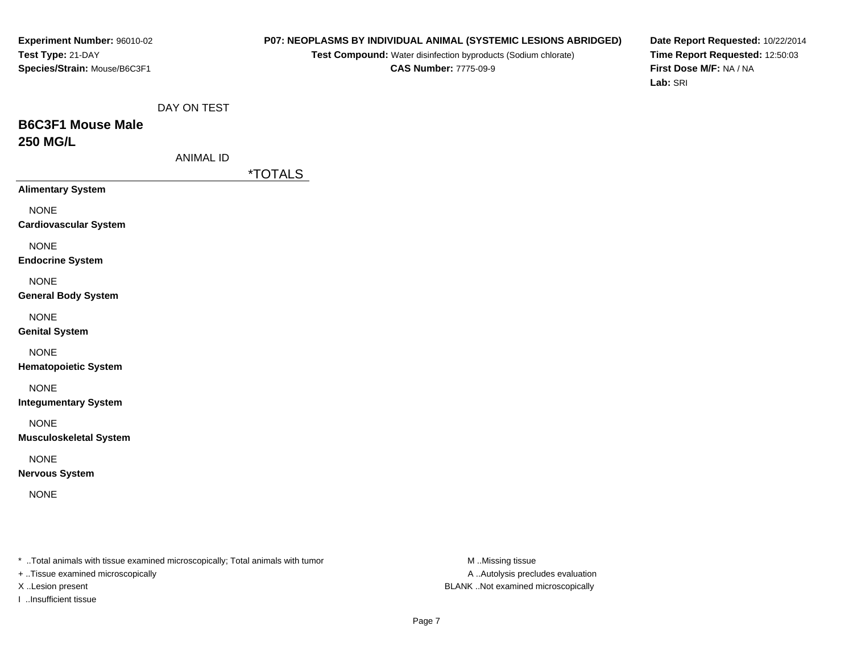#### **P07: NEOPLASMS BY INDIVIDUAL ANIMAL (SYSTEMIC LESIONS ABRIDGED)**

**Test Compound:** Water disinfection byproducts (Sodium chlorate)**CAS Number:** 7775-09-9

**Date Report Requested:** 10/22/2014**Time Report Requested:** 12:50:03**First Dose M/F:** NA / NA**Lab:** SRI

## **B6C3F1 Mouse Male250 MG/L**

| ANIMAL ID |  |
|-----------|--|
|-----------|--|

\*TOTALS

**Alimentary System**

NONE

**Cardiovascular System**

NONE

**Endocrine System**

NONE

#### **General Body System**

NONE

**Genital System**

NONE

**Hematopoietic System**

NONE

**Integumentary System**

NONE

**Musculoskeletal System**

NONE

**Nervous System**

NONE

\* ..Total animals with tissue examined microscopically; Total animals with tumor **M** ..Missing tissue M ..Missing tissue

+ ..Tissue examined microscopically

I ..Insufficient tissue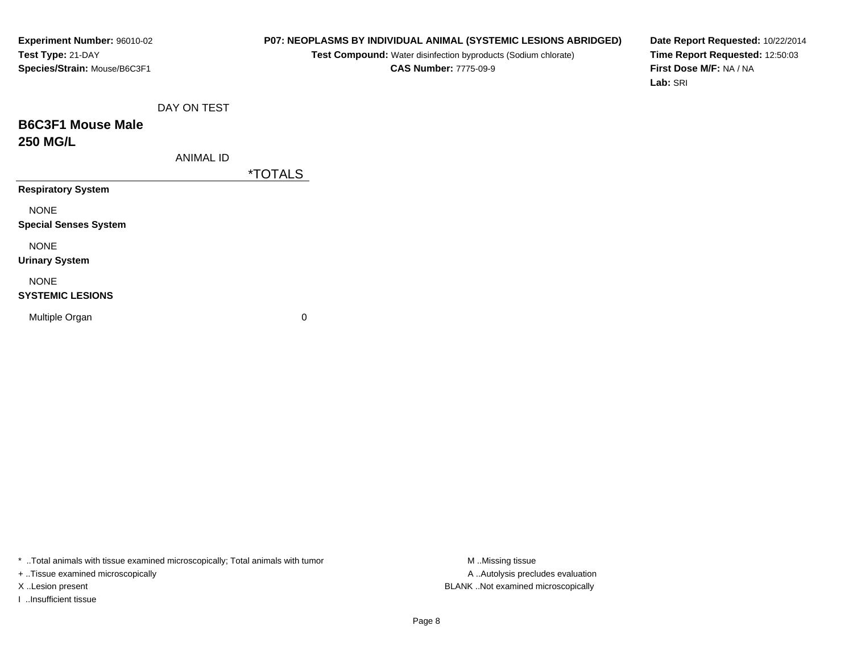## **P07: NEOPLASMS BY INDIVIDUAL ANIMAL (SYSTEMIC LESIONS ABRIDGED)**

**Test Compound:** Water disinfection byproducts (Sodium chlorate)**CAS Number:** 7775-09-9

**Date Report Requested:** 10/22/2014**Time Report Requested:** 12:50:03**First Dose M/F:** NA / NA**Lab:** SRI

## **B6C3F1 Mouse Male250 MG/L**

ANIMAL ID

\*TOTALS

**Respiratory System**

NONE

**Special Senses System**

NONE

**Urinary System**

## NONE

#### **SYSTEMIC LESIONS**

Multiple Organ

 $\mathbf n$  0

\* ..Total animals with tissue examined microscopically; Total animals with tumor **M** ...Missing tissue M ...Missing tissue

+ ..Tissue examined microscopically

I ..Insufficient tissue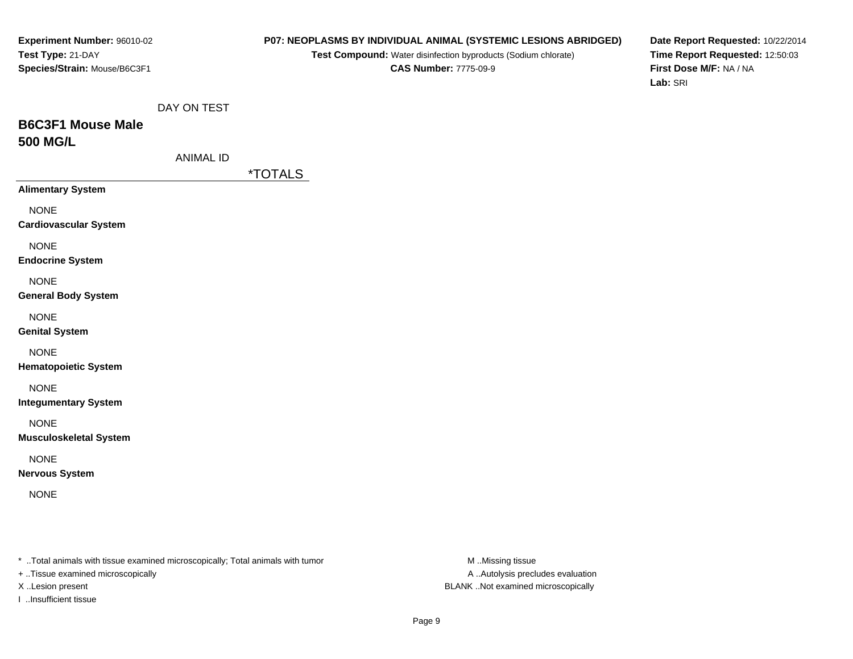#### **P07: NEOPLASMS BY INDIVIDUAL ANIMAL (SYSTEMIC LESIONS ABRIDGED)**

**Test Compound:** Water disinfection byproducts (Sodium chlorate)**CAS Number:** 7775-09-9

**Date Report Requested:** 10/22/2014**Time Report Requested:** 12:50:03**First Dose M/F:** NA / NA**Lab:** SRI

## **B6C3F1 Mouse Male500 MG/L**

\*TOTALS

**Alimentary System**

NONE

**Cardiovascular System**

NONE

**Endocrine System**

NONE

#### **General Body System**

NONE

**Genital System**

NONE

**Hematopoietic System**

NONE

**Integumentary System**

NONE

**Musculoskeletal System**

NONE

**Nervous System**

NONE

\* ..Total animals with tissue examined microscopically; Total animals with tumor **M** ..Missing tissue M ..Missing tissue

+ ..Tissue examined microscopically

I ..Insufficient tissue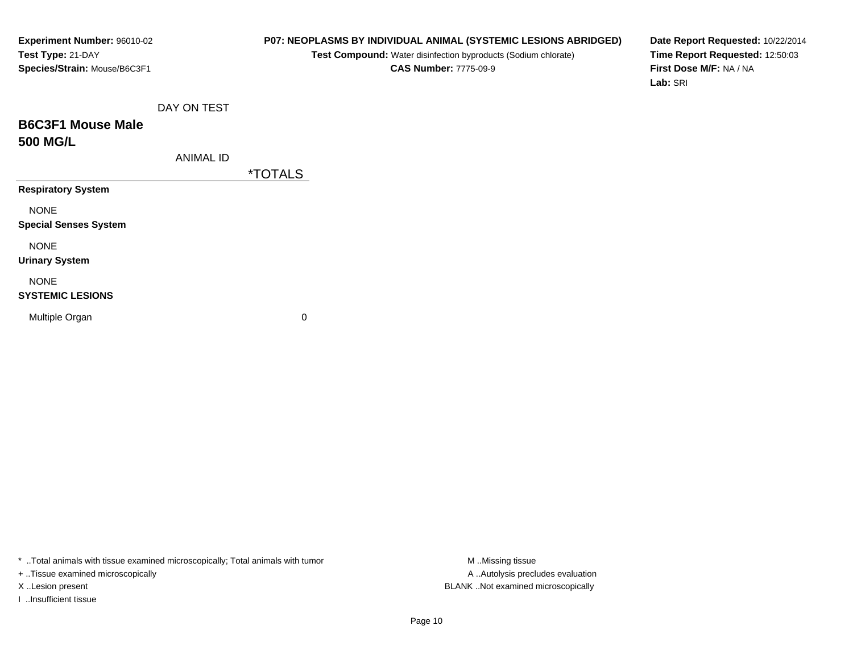## **P07: NEOPLASMS BY INDIVIDUAL ANIMAL (SYSTEMIC LESIONS ABRIDGED)**

**Test Compound:** Water disinfection byproducts (Sodium chlorate)**CAS Number:** 7775-09-9

**Date Report Requested:** 10/22/2014**Time Report Requested:** 12:50:03**First Dose M/F:** NA / NA**Lab:** SRI

## **B6C3F1 Mouse Male500 MG/L**

| ANIMAL ID |  |
|-----------|--|
|-----------|--|

\*TOTALS

**Respiratory System**

NONE

**Special Senses System**

NONE

**Urinary System**

## NONE

#### **SYSTEMIC LESIONS**

Multiple Organ

 $\mathbf n$  0

\* ..Total animals with tissue examined microscopically; Total animals with tumor **M** ...Missing tissue M ...Missing tissue

+ ..Tissue examined microscopically

I ..Insufficient tissue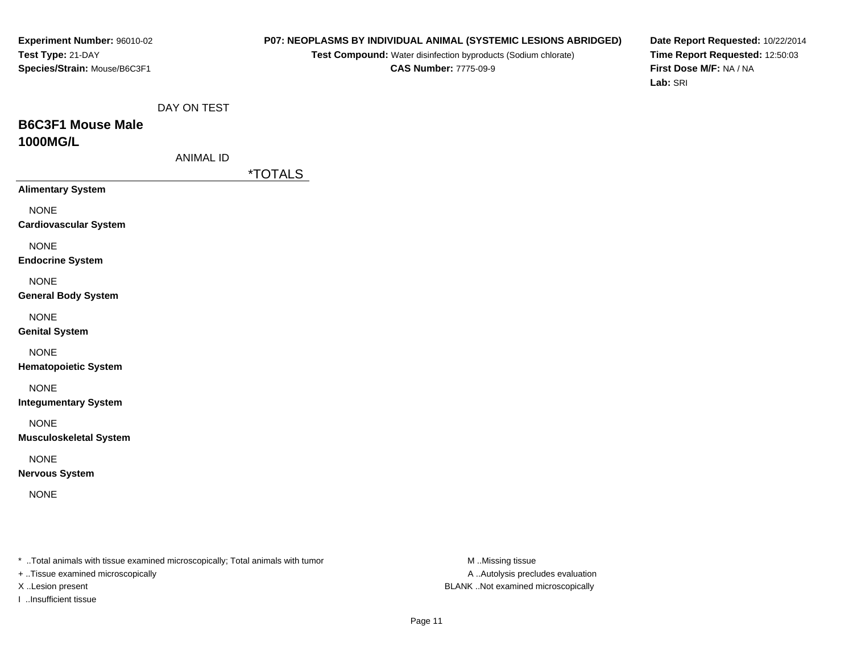## **P07: NEOPLASMS BY INDIVIDUAL ANIMAL (SYSTEMIC LESIONS ABRIDGED)**

**Test Compound:** Water disinfection byproducts (Sodium chlorate)**CAS Number:** 7775-09-9

**Date Report Requested:** 10/22/2014**Time Report Requested:** 12:50:03**First Dose M/F:** NA / NA**Lab:** SRI

| DAY ON TEST |
|-------------|
|             |

## **B6C3F1 Mouse Male1000MG/L**

| ANIMAL ID |  |
|-----------|--|
|           |  |

\*TOTALS

**Alimentary System**

NONE

**Cardiovascular System**

NONE

**Endocrine System**

NONE

#### **General Body System**

NONE

**Genital System**

NONE

**Hematopoietic System**

NONE

**Integumentary System**

NONE

**Musculoskeletal System**

NONE

**Nervous System**

NONE

\* ..Total animals with tissue examined microscopically; Total animals with tumor **M** ..Missing tissue M ..Missing tissue

+ ..Tissue examined microscopically

I ..Insufficient tissue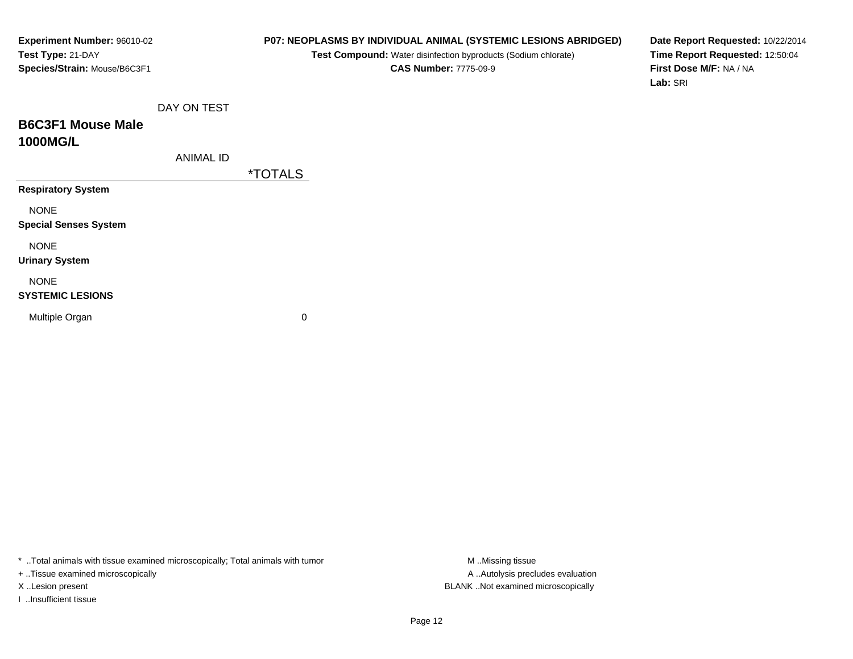## **P07: NEOPLASMS BY INDIVIDUAL ANIMAL (SYSTEMIC LESIONS ABRIDGED)**

**Test Compound:** Water disinfection byproducts (Sodium chlorate)**CAS Number:** 7775-09-9

**Date Report Requested:** 10/22/2014**Time Report Requested:** 12:50:04**First Dose M/F:** NA / NA**Lab:** SRI

|  | DAY ON TEST |
|--|-------------|
|  |             |

## **B6C3F1 Mouse Male1000MG/L**

ANIMAL ID

\*TOTALS

**Respiratory System**

NONE

**Special Senses System**

NONE

**Urinary System**

## NONE

#### **SYSTEMIC LESIONS**

Multiple Organ

 $\mathbf n$  0

\* ..Total animals with tissue examined microscopically; Total animals with tumor **M** ...Missing tissue M ...Missing tissue

+ ..Tissue examined microscopically

I ..Insufficient tissue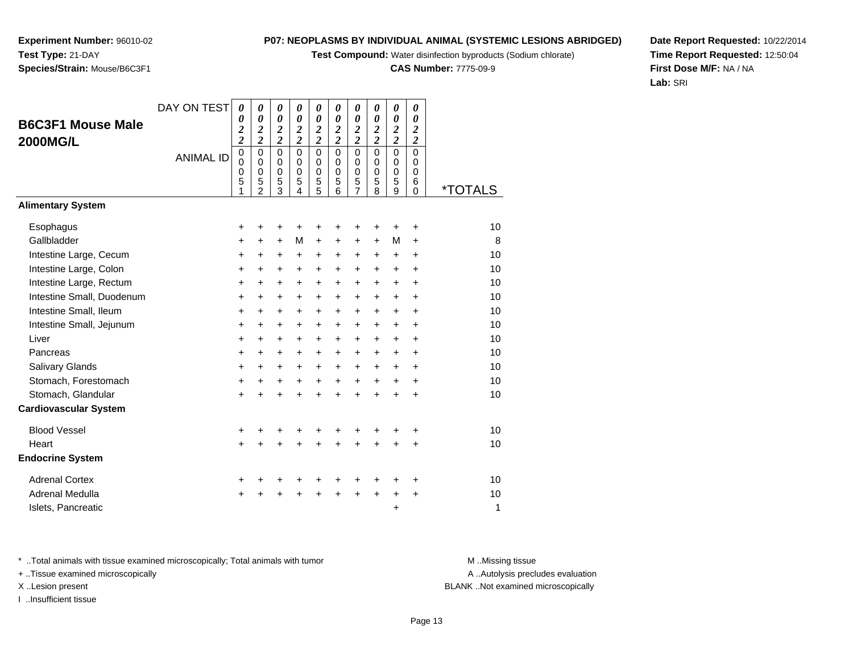**Test Compound:** Water disinfection byproducts (Sodium chlorate)

**CAS Number:** 7775-09-9

**Date Report Requested:** 10/22/2014**Time Report Requested:** 12:50:04**First Dose M/F:** NA / NA**Lab:** SRI

Page 13

A .. Autolysis precludes evaluation

\* ..Total animals with tissue examined microscopically; Total animals with tumor **M** ...Missing tissue M ...Missing tissue

DAY ON TEST

*0 0 2*

*0 0 2*

*0 0 2*

*0 0 2*

*0 0 2*

*0 0 2*

*0 0 2*

*0 0 2*

*0 0 2*

*0 0 2*

+ ..Tissue examined microscopically

X ..Lesion present BLANK ..Not examined microscopically

I ..Insufficient tissue

| <b>2000MG/L</b>              |                  | $\overline{\mathbf{c}}$    | $\overline{\mathbf{c}}$                                         | $\overline{\mathbf{c}}$                             | $\overline{\mathbf{c}}$                             | $\overline{\mathbf{c}}$                   | $\overline{\mathbf{c}}$                             | $\overline{\mathbf{c}}$                                           | $\overline{\mathbf{c}}$                             | $\overline{\mathbf{c}}$                           | $\boldsymbol{2}$                |                       |
|------------------------------|------------------|----------------------------|-----------------------------------------------------------------|-----------------------------------------------------|-----------------------------------------------------|-------------------------------------------|-----------------------------------------------------|-------------------------------------------------------------------|-----------------------------------------------------|---------------------------------------------------|---------------------------------|-----------------------|
|                              | <b>ANIMAL ID</b> | $\mathsf 0$<br>0<br>0<br>5 | $\mathsf 0$<br>$\mathbf 0$<br>$\mathbf 0$<br>5<br>$\mathcal{P}$ | $\mathbf 0$<br>$\mathbf 0$<br>$\mathbf 0$<br>5<br>3 | $\mathbf 0$<br>$\mathbf 0$<br>$\mathbf 0$<br>5<br>4 | $\mathbf 0$<br>$\mathbf 0$<br>0<br>5<br>5 | $\mathsf 0$<br>$\mathbf 0$<br>$\mathbf 0$<br>5<br>6 | $\mathbf 0$<br>0<br>$\pmb{0}$<br>$\overline{5}$<br>$\overline{7}$ | $\mathbf 0$<br>$\mathbf 0$<br>$\mathbf 0$<br>5<br>8 | $\mathbf 0$<br>$\mathbf 0$<br>$\pmb{0}$<br>5<br>9 | 0<br>0<br>0<br>6<br>$\mathbf 0$ | <i><b>*TOTALS</b></i> |
| <b>Alimentary System</b>     |                  |                            |                                                                 |                                                     |                                                     |                                           |                                                     |                                                                   |                                                     |                                                   |                                 |                       |
| Esophagus                    |                  | ÷                          | ٠                                                               | +                                                   |                                                     |                                           | +                                                   | +                                                                 | ٠                                                   | ٠                                                 | ÷                               | 10                    |
| Gallbladder                  |                  | $\pm$                      | $\ddot{}$                                                       | $+$                                                 | M                                                   | $+$                                       | $\ddot{}$                                           | $\ddot{}$                                                         | $\ddot{}$                                           | м                                                 | $\ddot{}$                       | 8                     |
| Intestine Large, Cecum       |                  | $\ddot{}$                  | +                                                               | +                                                   | $\ddot{}$                                           | +                                         | +                                                   | +                                                                 | +                                                   | $\ddot{}$                                         | +                               | 10                    |
| Intestine Large, Colon       |                  | $\ddot{}$                  | +                                                               | $\ddot{}$                                           | $\ddot{}$                                           | $\ddot{}$                                 | $\ddot{}$                                           | +                                                                 | $\ddot{}$                                           | $\ddot{}$                                         | $\ddot{}$                       | 10                    |
| Intestine Large, Rectum      |                  | +                          | $\ddot{}$                                                       | $\ddot{}$                                           | $\ddot{}$                                           | $\ddot{}$                                 | +                                                   | +                                                                 | $\ddot{}$                                           | $\ddot{}$                                         | $\ddot{}$                       | 10                    |
| Intestine Small, Duodenum    |                  | +                          | $\ddot{}$                                                       | $\ddot{}$                                           | $\ddot{}$                                           | +                                         | $\ddot{}$                                           | $\ddot{}$                                                         | $\ddot{}$                                           | +                                                 | +                               | 10                    |
| Intestine Small, Ileum       |                  | $+$                        | $\ddot{}$                                                       | $\ddot{}$                                           | $+$                                                 | $\ddot{}$                                 | $\ddot{}$                                           | $\ddot{}$                                                         | $\ddot{}$                                           | $+$                                               | $\ddot{}$                       | 10                    |
| Intestine Small, Jejunum     |                  | $\ddot{}$                  | +                                                               | +                                                   | +                                                   | $\ddot{}$                                 | +                                                   | +                                                                 | +                                                   | $\ddot{}$                                         | ÷                               | 10                    |
| Liver                        |                  | +                          | +                                                               | +                                                   | $\ddot{}$                                           | +                                         | +                                                   | +                                                                 | $\ddot{}$                                           | $\ddot{}$                                         | $\ddot{}$                       | 10                    |
| Pancreas                     |                  | $\ddot{}$                  | $\ddot{}$                                                       | $\ddot{}$                                           | $\ddot{}$                                           | $+$                                       | +                                                   | +                                                                 | $\ddot{}$                                           | $\ddot{}$                                         | $\ddot{}$                       | 10                    |
| Salivary Glands              |                  | $\ddot{}$                  | +                                                               | $\ddot{}$                                           | $\ddot{}$                                           | $\ddot{}$                                 | +                                                   | +                                                                 | +                                                   | +                                                 | +                               | 10                    |
| Stomach, Forestomach         |                  | $\ddot{}$                  | $\ddot{}$                                                       | $\ddot{}$                                           | $\ddot{}$                                           | $\ddot{}$                                 | $\ddot{}$                                           | $\ddot{}$                                                         | $\ddot{}$                                           | $\ddot{}$                                         | $\ddot{}$                       | 10                    |
| Stomach, Glandular           |                  | $+$                        |                                                                 | $\ddot{}$                                           | $\ddot{}$                                           | $\ddot{}$                                 | $\ddot{}$                                           | $\ddot{}$                                                         | $\ddot{}$                                           | $\ddot{}$                                         | $\ddot{}$                       | 10                    |
| <b>Cardiovascular System</b> |                  |                            |                                                                 |                                                     |                                                     |                                           |                                                     |                                                                   |                                                     |                                                   |                                 |                       |
| <b>Blood Vessel</b>          |                  | $\ddot{}$                  |                                                                 | +                                                   |                                                     |                                           | +                                                   | +                                                                 | +                                                   |                                                   | +                               | 10                    |
| Heart                        |                  | $+$                        | +                                                               | $\ddot{}$                                           | $\ddot{}$                                           | $\ddot{}$                                 | $\ddot{}$                                           | $\ddot{}$                                                         | $\ddot{}$                                           | $\ddot{}$                                         | $\ddot{}$                       | 10                    |
| <b>Endocrine System</b>      |                  |                            |                                                                 |                                                     |                                                     |                                           |                                                     |                                                                   |                                                     |                                                   |                                 |                       |
| <b>Adrenal Cortex</b>        |                  | $\ddot{}$                  |                                                                 |                                                     |                                                     |                                           |                                                     | +                                                                 | +                                                   |                                                   | +                               | 10                    |
| Adrenal Medulla              |                  | $\pm$                      | +                                                               | +                                                   | $\ddot{}$                                           | $\ddot{}$                                 | $\ddot{}$                                           | $\ddot{}$                                                         | $\ddot{}$                                           | $\ddot{}$                                         | $\ddot{}$                       | 10                    |
| Islets, Pancreatic           |                  |                            |                                                                 |                                                     |                                                     |                                           |                                                     |                                                                   |                                                     | +                                                 |                                 | 1                     |

**Experiment Number:** 96010-02**Test Type:** 21-DAY**Species/Strain:** Mouse/B6C3F1

**B6C3F1 Mouse Male**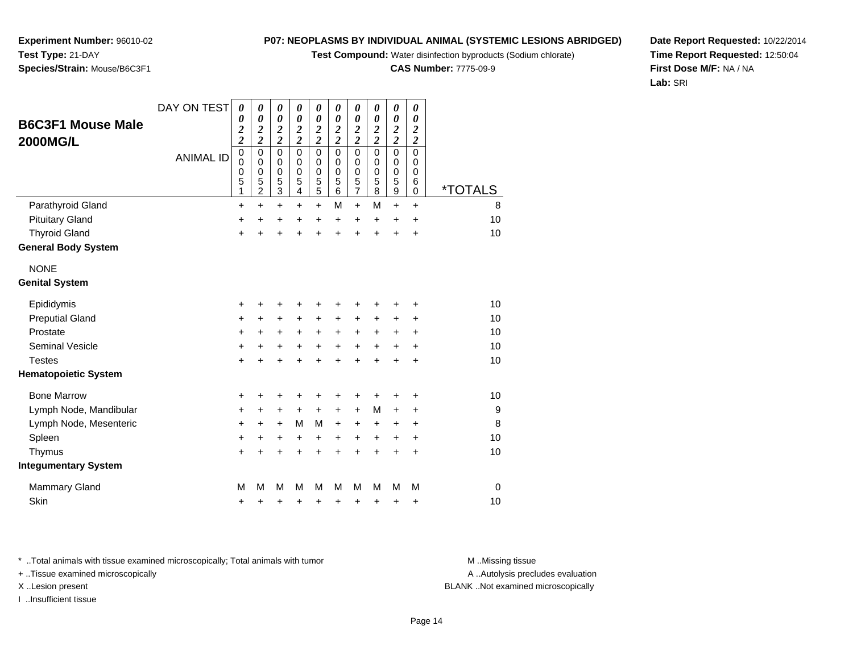**Test Compound:** Water disinfection byproducts (Sodium chlorate)

**CAS Number:** 7775-09-9

**Date Report Requested:** 10/22/2014**Time Report Requested:** 12:50:04**First Dose M/F:** NA / NA**Lab:** SRI

**Species/Strain:** Mouse/B6C3F1

| <b>B6C3F1 Mouse Male</b><br><b>2000MG/L</b> | DAY ON TEST      | $\boldsymbol{\theta}$<br>0<br>$\overline{\mathbf{c}}$<br>$\overline{\mathbf{c}}$ | $\boldsymbol{\theta}$<br>$\boldsymbol{\theta}$<br>$\overline{\mathbf{c}}$<br>$\overline{2}$ | $\pmb{\theta}$<br>$\boldsymbol{\theta}$<br>$\overline{\mathbf{c}}$<br>$\overline{2}$ | 0<br>$\boldsymbol{\theta}$<br>$\frac{2}{2}$                   | $\boldsymbol{\theta}$<br>$\boldsymbol{\theta}$<br>$\frac{2}{2}$ | 0<br>$\boldsymbol{\theta}$<br>$\frac{2}{2}$ | 0<br>0<br>$\frac{2}{2}$                | 0<br>$\boldsymbol{\theta}$<br>$\frac{2}{2}$         | $\boldsymbol{\theta}$<br>$\boldsymbol{\theta}$<br>$\overline{\mathbf{c}}$<br>$\overline{2}$ | 0<br>$\boldsymbol{\theta}$<br>$\overline{\mathbf{c}}$<br>$\overline{2}$ |                       |
|---------------------------------------------|------------------|----------------------------------------------------------------------------------|---------------------------------------------------------------------------------------------|--------------------------------------------------------------------------------------|---------------------------------------------------------------|-----------------------------------------------------------------|---------------------------------------------|----------------------------------------|-----------------------------------------------------|---------------------------------------------------------------------------------------------|-------------------------------------------------------------------------|-----------------------|
|                                             | <b>ANIMAL ID</b> | $\pmb{0}$<br>0<br>0<br>5<br>1                                                    | $\mathbf 0$<br>$\mathbf 0$<br>$\mathbf 0$<br>5<br>$\overline{c}$                            | 0<br>$\mathbf 0$<br>$\mathbf 0$<br>5<br>$\overline{3}$                               | $\Omega$<br>$\mathbf 0$<br>$\mathbf 0$<br>5<br>$\overline{4}$ | $\mathbf 0$<br>$\pmb{0}$<br>$\mathbf 0$<br>$\frac{5}{5}$        | 0<br>$\mathbf 0$<br>$\pmb{0}$<br>5<br>6     | $\mathbf 0$<br>0<br>0<br>$\frac{5}{7}$ | $\mathbf 0$<br>$\mathbf 0$<br>$\mathbf 0$<br>5<br>8 | $\mathbf 0$<br>$\mathbf 0$<br>$\mathbf 0$<br>5<br>$\boldsymbol{9}$                          | $\mathbf 0$<br>$\mathbf 0$<br>0<br>6<br>$\mathbf 0$                     | <i><b>*TOTALS</b></i> |
| Parathyroid Gland                           |                  | $\ddot{}$                                                                        | $\ddot{}$                                                                                   | $\ddot{}$                                                                            | $\ddot{}$                                                     | $\ddot{}$                                                       | M                                           | $+$                                    | M                                                   | $\ddot{}$                                                                                   | $\ddot{}$                                                               | 8                     |
| <b>Pituitary Gland</b>                      |                  | +                                                                                | $\ddot{}$                                                                                   | +                                                                                    | $\pm$                                                         | $\pm$                                                           | $\pm$                                       | $\ddot{}$                              | $\ddot{}$                                           | $\ddot{}$                                                                                   | $\ddot{}$                                                               | 10                    |
| <b>Thyroid Gland</b>                        |                  | $\ddot{}$                                                                        | Ŧ.                                                                                          | $\ddot{}$                                                                            | $\ddot{}$                                                     | $\ddot{}$                                                       | $\ddot{}$                                   | $\ddot{}$                              | $\ddot{}$                                           | +                                                                                           | +                                                                       | 10                    |
| <b>General Body System</b>                  |                  |                                                                                  |                                                                                             |                                                                                      |                                                               |                                                                 |                                             |                                        |                                                     |                                                                                             |                                                                         |                       |
| <b>NONE</b>                                 |                  |                                                                                  |                                                                                             |                                                                                      |                                                               |                                                                 |                                             |                                        |                                                     |                                                                                             |                                                                         |                       |
| <b>Genital System</b>                       |                  |                                                                                  |                                                                                             |                                                                                      |                                                               |                                                                 |                                             |                                        |                                                     |                                                                                             |                                                                         |                       |
| Epididymis                                  |                  | +                                                                                | +                                                                                           | +                                                                                    | +                                                             | +                                                               | +                                           | +                                      |                                                     |                                                                                             | +                                                                       | 10                    |
| <b>Preputial Gland</b>                      |                  | $\ddot{}$                                                                        | +                                                                                           | +                                                                                    | +                                                             | $\ddot{}$                                                       | $\ddot{}$                                   | $\ddot{}$                              | +                                                   | +                                                                                           | +                                                                       | 10                    |
| Prostate                                    |                  | $\ddot{}$                                                                        | +                                                                                           | $\ddot{}$                                                                            | +                                                             | $\ddot{}$                                                       | $\ddot{}$                                   | $\ddot{}$                              | +                                                   | +                                                                                           | +                                                                       | 10                    |
| <b>Seminal Vesicle</b>                      |                  | $\ddot{}$                                                                        | +                                                                                           | +                                                                                    | $\ddot{}$                                                     | +                                                               | +                                           | +                                      | +                                                   | +                                                                                           | $\ddot{}$                                                               | 10                    |
| <b>Testes</b>                               |                  | $\ddot{}$                                                                        | +                                                                                           | $\ddot{}$                                                                            | +                                                             | +                                                               | $\div$                                      | $\div$                                 | $\div$                                              | +                                                                                           | $\ddot{}$                                                               | 10                    |
| <b>Hematopoietic System</b>                 |                  |                                                                                  |                                                                                             |                                                                                      |                                                               |                                                                 |                                             |                                        |                                                     |                                                                                             |                                                                         |                       |
| <b>Bone Marrow</b>                          |                  | +                                                                                | +                                                                                           | +                                                                                    | +                                                             | +                                                               |                                             | +                                      |                                                     |                                                                                             | ٠                                                                       | 10                    |
| Lymph Node, Mandibular                      |                  | $\pm$                                                                            | +                                                                                           | +                                                                                    | $\pm$                                                         | $\pm$                                                           | $\pm$                                       | $\pm$                                  | M                                                   | +                                                                                           | ٠                                                                       | 9                     |
| Lymph Node, Mesenteric                      |                  | +                                                                                | +                                                                                           | $\ddot{}$                                                                            | М                                                             | м                                                               | $\pm$                                       | ÷                                      | $\ddot{}$                                           | ٠                                                                                           | ÷                                                                       | 8                     |
| Spleen                                      |                  | $\ddot{}$                                                                        | +                                                                                           | +                                                                                    | $\ddot{}$                                                     | +                                                               | $\ddot{}$                                   | +                                      | $\ddot{}$                                           | +                                                                                           | +                                                                       | 10                    |
| Thymus                                      |                  | +                                                                                | $\ddot{}$                                                                                   | $\ddot{}$                                                                            | $\ddot{}$                                                     | +                                                               | $\ddot{}$                                   | $\ddot{}$                              | $\ddot{}$                                           | $\ddot{}$                                                                                   | $\ddot{}$                                                               | 10                    |
| <b>Integumentary System</b>                 |                  |                                                                                  |                                                                                             |                                                                                      |                                                               |                                                                 |                                             |                                        |                                                     |                                                                                             |                                                                         |                       |
| Mammary Gland                               |                  | M                                                                                | М                                                                                           | М                                                                                    | М                                                             | M                                                               | м                                           | M                                      | М                                                   | М                                                                                           | M                                                                       | 0                     |
| Skin                                        |                  | +                                                                                | +                                                                                           | +                                                                                    | +                                                             | +                                                               | +                                           | +                                      | +                                                   | +                                                                                           | +                                                                       | 10                    |

\* ..Total animals with tissue examined microscopically; Total animals with tumor **M** . Missing tissue M ..Missing tissue

+ ..Tissue examined microscopically

I ..Insufficient tissue

A ..Autolysis precludes evaluation

X ..Lesion present BLANK ..Not examined microscopically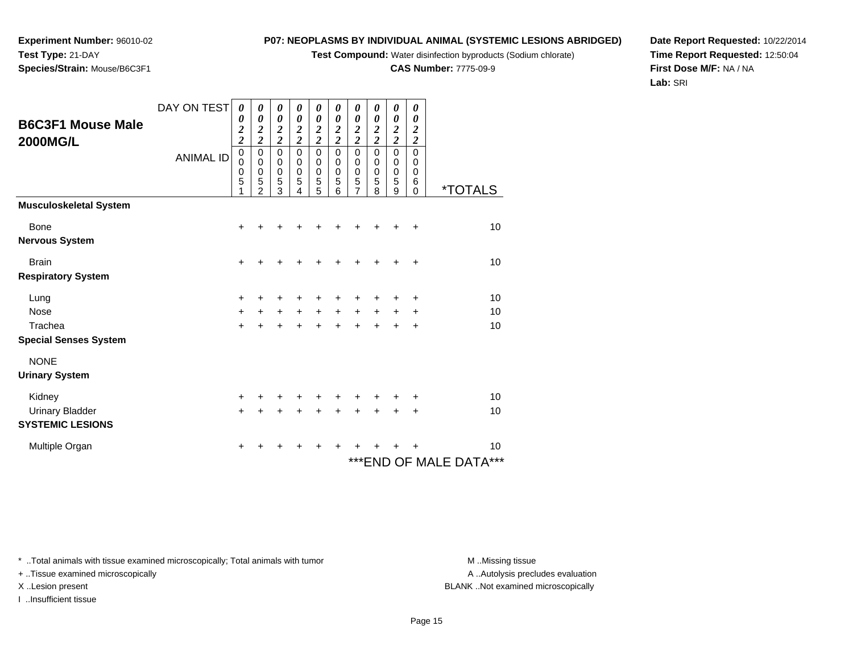**Test Compound:** Water disinfection byproducts (Sodium chlorate)

**CAS Number:** 7775-09-9

**Date Report Requested:** 10/22/2014**Time Report Requested:** 12:50:04**First Dose M/F:** NA / NA**Lab:** SRI

\* ..Total animals with tissue examined microscopically; Total animals with tumor **M** ...Missing tissue M ...Missing tissue

+ ..Tissue examined microscopically

I ..Insufficient tissue

|                               | DAY ON TEST      | 0                   | 0                            | 0                                | 0                            | 0                                | 0                            | 0                | 0                       | 0                | 0                       |                       |
|-------------------------------|------------------|---------------------|------------------------------|----------------------------------|------------------------------|----------------------------------|------------------------------|------------------|-------------------------|------------------|-------------------------|-----------------------|
| <b>B6C3F1 Mouse Male</b>      |                  | 0                   | 0                            | 0                                | 0                            | 0                                | 0                            | 0                | 0                       | 0                | 0                       |                       |
|                               |                  | 2<br>$\overline{2}$ | 2<br>$\overline{\mathbf{c}}$ | $\overline{2}$<br>$\overline{2}$ | 2<br>$\overline{\mathbf{c}}$ | $\overline{2}$<br>$\overline{2}$ | 2<br>$\overline{\mathbf{c}}$ | $\overline{2}$   | 2                       | $\overline{2}$   | 2                       |                       |
| <b>2000MG/L</b>               |                  |                     |                              | $\mathbf 0$                      |                              |                                  |                              | $\overline{2}$   | $\overline{\mathbf{c}}$ | $\overline{2}$   | $\overline{\mathbf{c}}$ |                       |
|                               | <b>ANIMAL ID</b> | $\pmb{0}$<br>0      | $\mathbf 0$<br>0             | 0                                | 0<br>0                       | $\mathbf 0$<br>$\Omega$          | 0<br>0                       | $\mathbf 0$<br>0 | 0<br>0                  | $\mathbf 0$<br>0 | $\mathbf 0$<br>0        |                       |
|                               |                  | 0                   | 0                            | 0                                | 0                            | 0                                | 0                            | 0                | 0                       | 0                | 0                       |                       |
|                               |                  | $\overline{5}$      | 5                            | 5                                | 5                            | 5                                | 5                            | 5                | 5                       | 5                | 6                       |                       |
|                               |                  |                     | $\mathfrak{p}$               | 3                                | 4                            | 5                                | 6                            | 7                | 8                       | 9                | $\mathbf 0$             | <i><b>*TOTALS</b></i> |
| <b>Musculoskeletal System</b> |                  |                     |                              |                                  |                              |                                  |                              |                  |                         |                  |                         |                       |
| <b>Bone</b>                   |                  | +                   |                              |                                  |                              |                                  |                              |                  |                         | +                | ٠                       | 10                    |
| <b>Nervous System</b>         |                  |                     |                              |                                  |                              |                                  |                              |                  |                         |                  |                         |                       |
| <b>Brain</b>                  |                  | $\div$              |                              |                                  |                              |                                  |                              | +                | +                       | +                | ٠                       | 10                    |
| <b>Respiratory System</b>     |                  |                     |                              |                                  |                              |                                  |                              |                  |                         |                  |                         |                       |
| Lung                          |                  | ٠                   | +                            | +                                | +                            | +                                | +                            | +                | +                       | ٠                | ٠                       | 10                    |
| Nose                          |                  | $\pm$               | $+$                          | $+$                              | $+$                          | $\ddot{}$                        | $+$                          | $\ddot{}$        | $+$                     | $\ddot{}$        | ÷                       | 10                    |
| Trachea                       |                  | +                   | $\ddot{}$                    | +                                | +                            | $\ddot{}$                        | +                            | $\ddot{}$        | $+$                     | $\ddot{}$        | +                       | 10                    |
| <b>Special Senses System</b>  |                  |                     |                              |                                  |                              |                                  |                              |                  |                         |                  |                         |                       |
| <b>NONE</b>                   |                  |                     |                              |                                  |                              |                                  |                              |                  |                         |                  |                         |                       |

## **Experiment Number:** 96010-02**Test Type:** 21-DAY**Species/Strain:** Mouse/B6C3F1

Kidney

## **Urinary System**

Urinary Bladder

Multiple Organ

**SYSTEMIC LESIONS**

 $\mathsf y$  <sup>+</sup> <sup>+</sup> <sup>+</sup> <sup>+</sup> <sup>+</sup> <sup>+</sup> <sup>+</sup> <sup>+</sup> <sup>+</sup> <sup>10</sup>  $\mathbf{r}$  + <sup>+</sup> <sup>+</sup> <sup>+</sup> <sup>+</sup> <sup>+</sup> <sup>+</sup> <sup>+</sup> <sup>+</sup> <sup>+</sup> <sup>10</sup> n  $+$ <sup>+</sup> <sup>+</sup> <sup>+</sup> <sup>+</sup> <sup>+</sup> <sup>+</sup> <sup>+</sup> <sup>+</sup> <sup>+</sup> <sup>10</sup>

\*\*\*END OF MALE DATA\*\*\*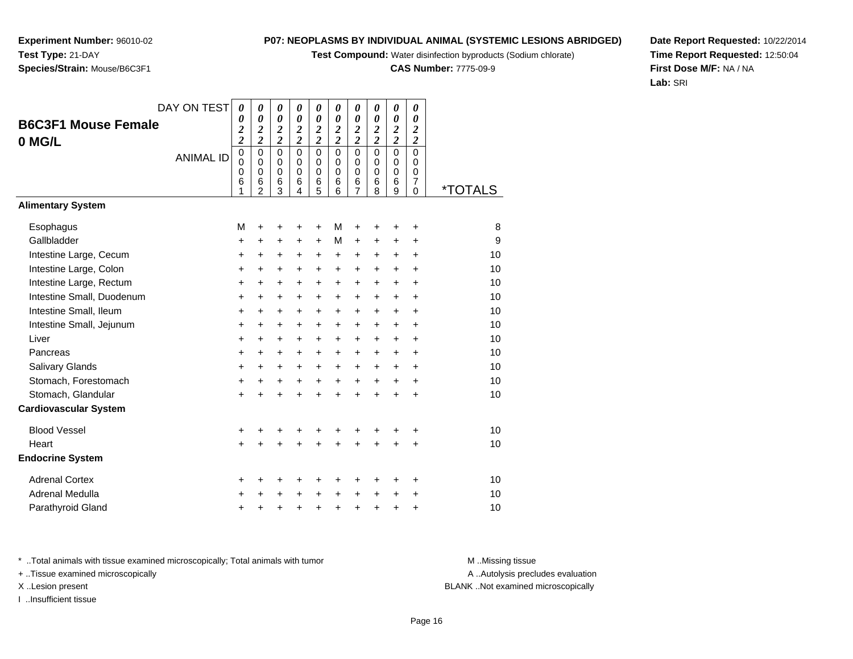**Test Compound:** Water disinfection byproducts (Sodium chlorate)

**CAS Number:** 7775-09-9

**Date Report Requested:** 10/22/2014**Time Report Requested:** 12:50:04**First Dose M/F:** NA / NA**Lab:** SRI

A ..Autolysis precludes evaluation

\* ..Total animals with tissue examined microscopically; Total animals with tumor **M** ...Missing tissue M ...Missing tissue

+ ..Tissue examined microscopically

X ..Lesion present BLANK ..Not examined microscopically

I ..Insufficient tissue

Parathyroid Glandd  $+$ 

| DAY ON TEST                  | 0                                 | 0                                           | 0                          | 0                                              | 0                                    | 0                                    | 0                            | 0                            | 0                                 | 0                                    |                       |
|------------------------------|-----------------------------------|---------------------------------------------|----------------------------|------------------------------------------------|--------------------------------------|--------------------------------------|------------------------------|------------------------------|-----------------------------------|--------------------------------------|-----------------------|
| <b>B6C3F1 Mouse Female</b>   | 0<br>$\overline{c}$               | 0<br>$\overline{2}$                         | 0<br>$\boldsymbol{2}$      | $\boldsymbol{\theta}$<br>$\boldsymbol{2}$      | 0<br>$\overline{\mathbf{c}}$         | 0<br>$\boldsymbol{2}$                | $\theta$<br>$\boldsymbol{2}$ | 0<br>$\overline{\mathbf{c}}$ | 0<br>$\boldsymbol{2}$             | 0<br>$\boldsymbol{2}$                |                       |
| 0 MG/L                       | $\overline{c}$                    | $\overline{c}$                              | $\overline{\mathbf{c}}$    | $\overline{2}$                                 | $\overline{\mathbf{c}}$              | $\overline{c}$                       | $\overline{c}$               | $\overline{\mathbf{c}}$      | $\overline{\mathbf{c}}$           | $\overline{c}$                       |                       |
| <b>ANIMAL ID</b>             | $\mathbf 0$<br>$\Omega$<br>0<br>6 | $\mathbf 0$<br>$\Omega$<br>$\mathbf 0$<br>6 | 0<br>$\mathbf 0$<br>0<br>6 | $\mathbf 0$<br>$\mathbf 0$<br>$\mathbf 0$<br>6 | $\mathbf 0$<br>$\mathbf 0$<br>0<br>6 | $\mathbf 0$<br>$\mathbf 0$<br>0<br>6 | $\mathbf 0$<br>0<br>0<br>6   | $\mathbf 0$<br>0<br>0<br>6   | $\mathbf 0$<br>$\Omega$<br>0<br>6 | 0<br>$\Omega$<br>0<br>$\overline{7}$ |                       |
|                              | 1                                 | $\overline{2}$                              | 3                          | 4                                              | 5                                    | 6                                    | 7                            | 8                            | 9                                 | 0                                    | <i><b>*TOTALS</b></i> |
| <b>Alimentary System</b>     |                                   |                                             |                            |                                                |                                      |                                      |                              |                              |                                   |                                      |                       |
| Esophagus                    | M                                 | +                                           | ٠                          | $\ddot{}$                                      | +                                    | М                                    | +                            | ٠                            | ٠                                 | +                                    | 8                     |
| Gallbladder                  | +                                 | +                                           | +                          | +                                              | $\ddot{}$                            | M                                    | $\ddot{}$                    | +                            | +                                 | $\ddot{}$                            | 9                     |
| Intestine Large, Cecum       | +                                 | +                                           | +                          | +                                              | +                                    | $\ddot{}$                            | +                            | +                            | +                                 | +                                    | 10                    |
| Intestine Large, Colon       | $\ddot{}$                         | +                                           | +                          | +                                              | +                                    | +                                    | $\ddot{}$                    | +                            | $\ddot{}$                         | $\ddot{}$                            | 10                    |
| Intestine Large, Rectum      | $\ddot{}$                         | $\ddot{}$                                   | $\ddot{}$                  | $\ddot{}$                                      | +                                    | $\ddot{}$                            | $\ddot{}$                    | $\ddot{}$                    | +                                 | $\ddot{}$                            | 10                    |
| Intestine Small, Duodenum    | $\ddot{}$                         | $\ddot{}$                                   | $\ddot{}$                  | $\ddot{}$                                      | +                                    | $\ddot{}$                            | $\ddot{}$                    | $\ddot{}$                    | +                                 | +                                    | 10                    |
| Intestine Small, Ileum       | $\ddot{}$                         | $\ddot{}$                                   | +                          | $\ddot{}$                                      | +                                    | $\ddot{}$                            | $\ddot{}$                    | $\ddot{}$                    | $\ddot{}$                         | $\ddot{}$                            | 10                    |
| Intestine Small, Jejunum     | $\ddot{}$                         | +                                           | $\pm$                      | $\ddot{}$                                      | +                                    | $\ddot{}$                            | $\ddot{}$                    | $+$                          | $\ddot{}$                         | $\ddot{}$                            | 10                    |
| Liver                        | $\ddot{}$                         | $\ddot{}$                                   | +                          | $\ddot{}$                                      | +                                    | $\ddot{}$                            | $\ddot{}$                    | $\ddot{}$                    | $\ddot{}$                         | $\ddot{}$                            | 10                    |
| Pancreas                     | $\ddot{}$                         | +                                           | +                          | +                                              | +                                    | +                                    | $\ddot{}$                    | $\ddot{}$                    | +                                 | $\ddot{}$                            | 10                    |
| Salivary Glands              | $\ddot{}$                         | $\ddot{}$                                   | +                          | $\ddot{}$                                      | $\ddot{}$                            | $\ddot{}$                            | $\ddot{}$                    | $\ddot{}$                    | $\ddot{}$                         | +                                    | 10                    |
| Stomach, Forestomach         | +                                 | $\ddot{}$                                   | $\ddot{}$                  | $\ddot{}$                                      | +                                    | $\ddot{}$                            | $\ddot{}$                    | $\ddot{}$                    | $\ddot{}$                         | $\ddot{}$                            | 10                    |
| Stomach, Glandular           | $\ddot{}$                         | $\ddot{}$                                   | $\ddot{}$                  | $\ddot{}$                                      | $\ddot{}$                            | $\ddot{}$                            | $\ddot{}$                    | ÷                            | $\ddot{}$                         | $\ddot{}$                            | 10                    |
| <b>Cardiovascular System</b> |                                   |                                             |                            |                                                |                                      |                                      |                              |                              |                                   |                                      |                       |
| <b>Blood Vessel</b>          | +                                 | +                                           | +                          | +                                              | +                                    | +                                    | +                            |                              |                                   | +                                    | 10                    |
| Heart                        | $\ddot{}$                         | $\ddot{}$                                   | $\ddot{}$                  | $\ddot{}$                                      | $\ddot{}$                            | $\ddot{}$                            | $\ddot{}$                    | $\ddot{}$                    | $\ddot{}$                         | $\ddot{}$                            | 10                    |
| <b>Endocrine System</b>      |                                   |                                             |                            |                                                |                                      |                                      |                              |                              |                                   |                                      |                       |
| <b>Adrenal Cortex</b>        | ٠                                 | ٠                                           | +                          | +                                              | +                                    | +                                    |                              | +                            | +                                 | +                                    | 10                    |
| <b>Adrenal Medulla</b>       | $\ddot{}$                         | +                                           | $\ddot{}$                  | $\ddot{}$                                      | +                                    | $\ddot{}$                            | $\ddot{}$                    | $\ddot{}$                    | $\ddot{}$                         | +                                    | 10                    |
| Parathyroid Gland            |                                   | +                                           |                            |                                                |                                      | +                                    |                              | +                            | +                                 | +                                    | 10                    |

**Experiment Number:** 96010-02**Test Type:** 21-DAY**Species/Strain:** Mouse/B6C3F1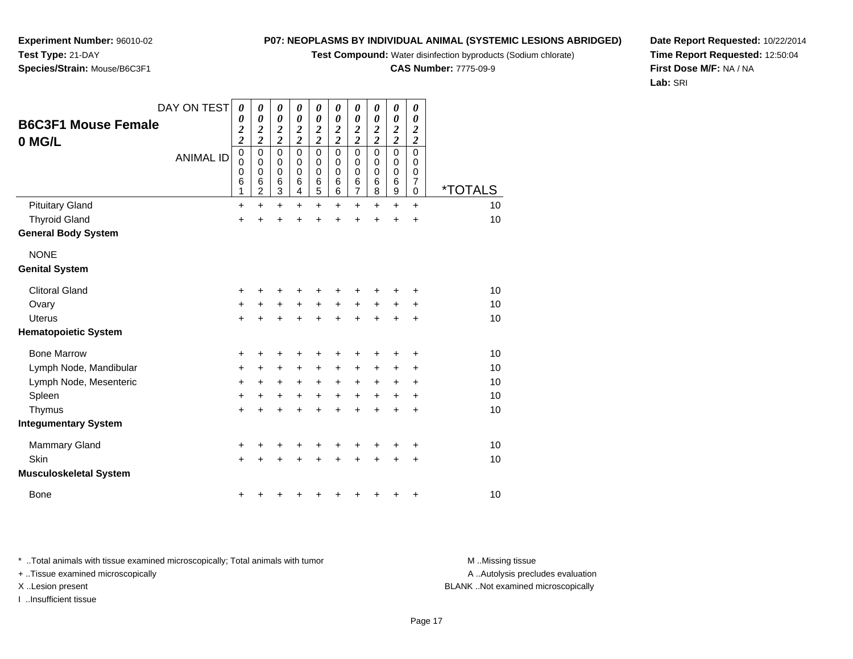**Test Compound:** Water disinfection byproducts (Sodium chlorate)

**CAS Number:** 7775-09-9

**Date Report Requested:** 10/22/2014**Time Report Requested:** 12:50:04**First Dose M/F:** NA / NA**Lab:** SRI

\* ..Total animals with tissue examined microscopically; Total animals with tumor **M** ...Missing tissue M ...Missing tissue + ..Tissue examined microscopically

DAY ON TEST

*0 0 2*

*0 0 2*

*0 0 2*

*0 0 2*

*0 0 2*

*0 0 2*

*0 0 2*

*0 0 2*

*0 0 2*

*0 0 2*

I ..Insufficient tissue

A .. Autolysis precludes evaluation X ..Lesion present BLANK ..Not examined microscopically

| 0 MG/L                        |                  | 2                               | 2                                         | 2                                         | 2                                     | 2                                         | 2                     | 2                               | 2                     | 2                               | 2                                       |                       |
|-------------------------------|------------------|---------------------------------|-------------------------------------------|-------------------------------------------|---------------------------------------|-------------------------------------------|-----------------------|---------------------------------|-----------------------|---------------------------------|-----------------------------------------|-----------------------|
|                               | <b>ANIMAL ID</b> | $\mathbf 0$<br>$\mathbf 0$<br>0 | $\mathbf 0$<br>$\mathbf 0$<br>$\mathbf 0$ | $\mathbf 0$<br>$\mathbf 0$<br>$\mathbf 0$ | $\pmb{0}$<br>$\pmb{0}$<br>$\mathbf 0$ | $\mathbf 0$<br>$\mathbf 0$<br>$\mathbf 0$ | $\mathsf 0$<br>0<br>0 | $\mathsf 0$<br>$\mathbf 0$<br>0 | $\mathbf 0$<br>0<br>0 | 0<br>$\mathbf 0$<br>$\mathbf 0$ | $\mathbf 0$<br>$\mathbf 0$<br>$\pmb{0}$ |                       |
|                               |                  | 6<br>1                          | $6\phantom{1}6$<br>$\overline{c}$         | 6<br>3                                    | $6\phantom{1}6$<br>4                  | $\,6$<br>5                                | 6<br>6                | 6<br>$\overline{7}$             | 6<br>8                | 6<br>9                          | $\overline{7}$<br>0                     | <i><b>*TOTALS</b></i> |
| <b>Pituitary Gland</b>        |                  | $\ddot{}$                       | $\ddot{}$                                 | $\ddot{}$                                 | +                                     | $\ddot{}$                                 | $\ddot{}$             | $\ddot{}$                       | $\ddot{}$             | $\ddot{}$                       | $\ddot{}$                               | 10                    |
| <b>Thyroid Gland</b>          |                  | $\ddot{}$                       | $\ddot{}$                                 | $\ddot{}$                                 | $\ddot{}$                             | +                                         | ÷                     | $\ddot{}$                       | $\ddot{}$             | ÷                               | $\ddot{}$                               | 10                    |
| <b>General Body System</b>    |                  |                                 |                                           |                                           |                                       |                                           |                       |                                 |                       |                                 |                                         |                       |
| <b>NONE</b>                   |                  |                                 |                                           |                                           |                                       |                                           |                       |                                 |                       |                                 |                                         |                       |
| <b>Genital System</b>         |                  |                                 |                                           |                                           |                                       |                                           |                       |                                 |                       |                                 |                                         |                       |
| <b>Clitoral Gland</b>         |                  | +                               | +                                         | +                                         | +                                     | +                                         | +                     | +                               | ٠                     | +                               | ٠                                       | 10                    |
| Ovary                         |                  | $\ddot{}$                       | $\ddot{}$                                 | $\ddot{}$                                 | $\ddot{}$                             | $+$                                       | $\ddot{}$             | $+$                             | $\ddot{}$             | $\ddot{}$                       | $\ddot{}$                               | 10                    |
| <b>Uterus</b>                 |                  | $\ddot{}$                       | +                                         | +                                         | $\ddot{}$                             | $\ddot{}$                                 | $\ddot{}$             | $\ddot{}$                       | $\ddot{}$             | $\ddot{}$                       | +                                       | 10                    |
| <b>Hematopoietic System</b>   |                  |                                 |                                           |                                           |                                       |                                           |                       |                                 |                       |                                 |                                         |                       |
| <b>Bone Marrow</b>            |                  | +                               | $\ddot{}$                                 | +                                         | +                                     |                                           | +                     | +                               | ٠                     | +                               | ÷                                       | 10                    |
| Lymph Node, Mandibular        |                  | +                               | +                                         | +                                         | +                                     | $\ddot{}$                                 | $\ddot{}$             | +                               | $\ddot{}$             | +                               | +                                       | 10                    |
| Lymph Node, Mesenteric        |                  | +                               | +                                         | $\ddot{}$                                 | $\ddot{}$                             | $\ddot{}$                                 | $\ddot{}$             | $\ddot{}$                       | $\ddot{}$             | +                               | +                                       | 10                    |
| Spleen                        |                  | $\ddot{}$                       | +                                         | $\ddot{}$                                 | $\ddot{}$                             | $\ddot{}$                                 | $\ddot{}$             | $\ddot{}$                       | $+$                   | +                               | $\ddot{}$                               | 10                    |
| Thymus                        |                  | $\ddot{}$                       | $\ddot{}$                                 | $\ddot{}$                                 | $\ddot{}$                             |                                           | $\ddot{}$             | $\ddot{}$                       | $\ddot{}$             | $\ddot{}$                       | $\ddot{}$                               | 10                    |
| <b>Integumentary System</b>   |                  |                                 |                                           |                                           |                                       |                                           |                       |                                 |                       |                                 |                                         |                       |
| Mammary Gland                 |                  | +                               | +                                         | ٠                                         | +                                     |                                           | +                     | +                               |                       |                                 | $\ddot{}$                               | 10                    |
| Skin                          |                  | $\ddot{}$                       | +                                         | +                                         | +                                     |                                           | +                     | +                               | +                     | ÷                               | $\ddot{}$                               | 10                    |
| <b>Musculoskeletal System</b> |                  |                                 |                                           |                                           |                                       |                                           |                       |                                 |                       |                                 |                                         |                       |
| <b>Bone</b>                   |                  | +                               |                                           |                                           |                                       |                                           |                       |                                 |                       | +                               | +                                       | 10                    |

**Experiment Number:** 96010-02**Test Type:** 21-DAY**Species/Strain:** Mouse/B6C3F1

**B6C3F1 Mouse Female**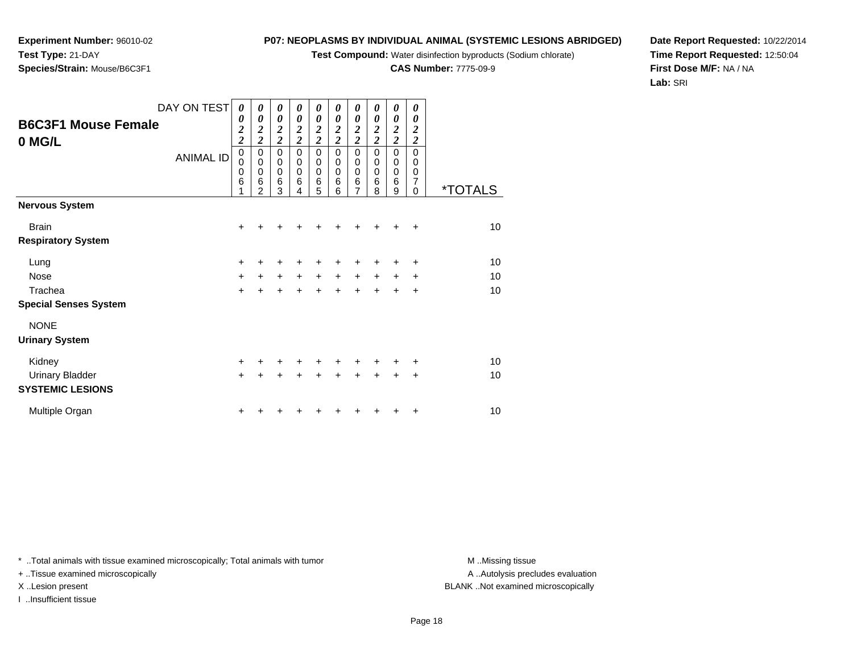**Test Compound:** Water disinfection byproducts (Sodium chlorate)

**CAS Number:** 7775-09-9

**Date Report Requested:** 10/22/2014**Time Report Requested:** 12:50:04**First Dose M/F:** NA / NA**Lab:** SRI

**Species/Strain:** Mouse/B6C3F1

| <b>B6C3F1 Mouse Female</b><br>0 MG/L              | DAY ON TEST<br><b>ANIMAL ID</b> | 0<br>0<br>$\overline{\mathbf{c}}$<br>$\overline{2}$<br>$\pmb{0}$<br>$\mathbf 0$<br>0<br>6<br>1 | 0<br>0<br>$\overline{\mathbf{c}}$<br>$\overline{c}$<br>0<br>$\mathbf 0$<br>$\mathbf 0$<br>6<br>2 | 0<br>0<br>$\boldsymbol{2}$<br>$\overline{c}$<br>0<br>$\boldsymbol{0}$<br>$\pmb{0}$<br>6<br>3 | 0<br>0<br>$\overline{\mathbf{c}}$<br>$\overline{2}$<br>0<br>$\pmb{0}$<br>0<br>6<br>4 | 0<br>0<br>$\overline{\mathbf{c}}$<br>$\overline{c}$<br>0<br>$\pmb{0}$<br>$\pmb{0}$<br>$6\phantom{1}6$<br>5 | 0<br>0<br>$\boldsymbol{2}$<br>$\overline{2}$<br>$\mathbf 0$<br>$\mathbf 0$<br>$\mathbf 0$<br>6<br>6 | 0<br>0<br>$\boldsymbol{2}$<br>$\overline{2}$<br>$\pmb{0}$<br>$\mathbf 0$<br>$\pmb{0}$<br>$6\phantom{1}6$<br>$\overline{7}$ | 0<br>0<br>$\boldsymbol{2}$<br>$\overline{2}$<br>$\mathbf 0$<br>$\mathbf 0$<br>$\mathbf 0$<br>6<br>8 | 0<br>0<br>$\overline{\mathbf{c}}$<br>$\overline{2}$<br>0<br>$\mathbf 0$<br>$\mathbf 0$<br>$6\phantom{1}6$<br>9 | 0<br>0<br>$\boldsymbol{2}$<br>$\overline{\mathbf{c}}$<br>$\mathbf 0$<br>0<br>0<br>$\overline{7}$<br>$\Omega$ | <i><b>*TOTALS</b></i> |
|---------------------------------------------------|---------------------------------|------------------------------------------------------------------------------------------------|--------------------------------------------------------------------------------------------------|----------------------------------------------------------------------------------------------|--------------------------------------------------------------------------------------|------------------------------------------------------------------------------------------------------------|-----------------------------------------------------------------------------------------------------|----------------------------------------------------------------------------------------------------------------------------|-----------------------------------------------------------------------------------------------------|----------------------------------------------------------------------------------------------------------------|--------------------------------------------------------------------------------------------------------------|-----------------------|
| <b>Nervous System</b>                             |                                 |                                                                                                |                                                                                                  |                                                                                              |                                                                                      |                                                                                                            |                                                                                                     |                                                                                                                            |                                                                                                     |                                                                                                                |                                                                                                              |                       |
| <b>Brain</b>                                      |                                 | $\ddot{}$                                                                                      |                                                                                                  |                                                                                              |                                                                                      |                                                                                                            |                                                                                                     |                                                                                                                            | ÷                                                                                                   | +                                                                                                              | $\ddot{}$                                                                                                    | 10                    |
| <b>Respiratory System</b>                         |                                 |                                                                                                |                                                                                                  |                                                                                              |                                                                                      |                                                                                                            |                                                                                                     |                                                                                                                            |                                                                                                     |                                                                                                                |                                                                                                              |                       |
| Lung                                              |                                 | +                                                                                              | +                                                                                                | +                                                                                            | ٠                                                                                    |                                                                                                            |                                                                                                     |                                                                                                                            | ٠                                                                                                   | ٠                                                                                                              | $\ddot{}$                                                                                                    | 10                    |
| Nose                                              |                                 | $\ddot{}$                                                                                      | +                                                                                                | $\ddot{}$                                                                                    | $\ddot{}$                                                                            | $\ddot{}$                                                                                                  | $\ddot{}$                                                                                           | $\ddot{}$                                                                                                                  | $\ddot{}$                                                                                           | $\ddot{}$                                                                                                      | $\ddot{}$                                                                                                    | 10                    |
| Trachea                                           |                                 | $+$                                                                                            | $\ddot{}$                                                                                        | $\ddot{}$                                                                                    | $\ddot{}$                                                                            | $+$                                                                                                        | $\ddot{}$                                                                                           | $+$                                                                                                                        | $\ddot{}$                                                                                           | $\ddot{}$                                                                                                      | $\ddot{}$                                                                                                    | 10                    |
| <b>Special Senses System</b>                      |                                 |                                                                                                |                                                                                                  |                                                                                              |                                                                                      |                                                                                                            |                                                                                                     |                                                                                                                            |                                                                                                     |                                                                                                                |                                                                                                              |                       |
| <b>NONE</b><br><b>Urinary System</b>              |                                 |                                                                                                |                                                                                                  |                                                                                              |                                                                                      |                                                                                                            |                                                                                                     |                                                                                                                            |                                                                                                     |                                                                                                                |                                                                                                              |                       |
| Kidney                                            |                                 | +                                                                                              | +                                                                                                | +                                                                                            | ÷                                                                                    | +                                                                                                          |                                                                                                     | +                                                                                                                          | +                                                                                                   | ٠                                                                                                              | +                                                                                                            | 10                    |
| <b>Urinary Bladder</b><br><b>SYSTEMIC LESIONS</b> |                                 | $+$                                                                                            | +                                                                                                | +                                                                                            | +                                                                                    | $\ddot{}$                                                                                                  | $\ddot{}$                                                                                           | $+$                                                                                                                        | $\ddot{}$                                                                                           | $\ddot{}$                                                                                                      | $\ddot{}$                                                                                                    | 10                    |
| Multiple Organ                                    |                                 | +                                                                                              |                                                                                                  |                                                                                              |                                                                                      |                                                                                                            |                                                                                                     |                                                                                                                            |                                                                                                     | ٠                                                                                                              | ÷                                                                                                            | 10                    |

\* ..Total animals with tissue examined microscopically; Total animals with tumor **M** . Missing tissue M ..Missing tissue

+ ..Tissue examined microscopically

I ..Insufficient tissue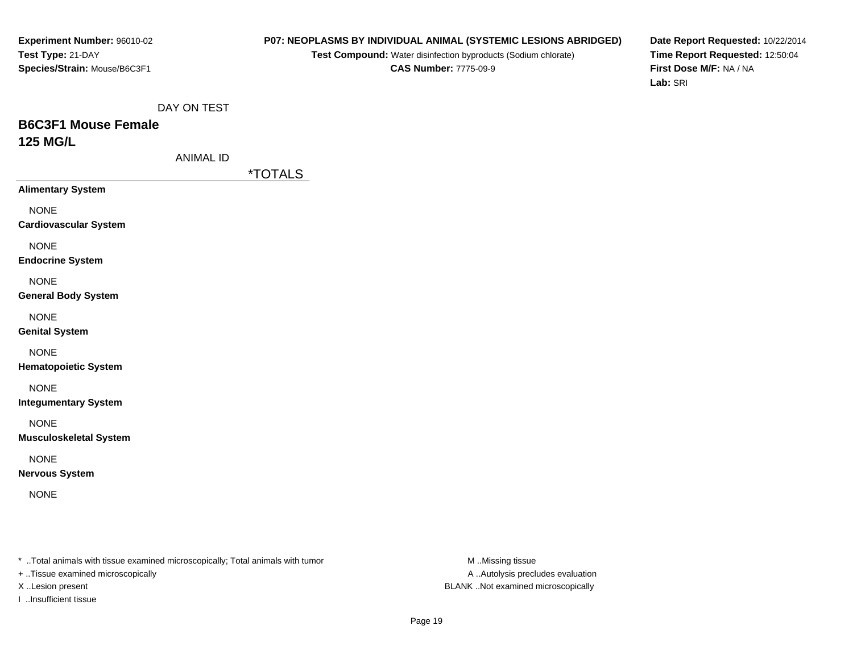#### **P07: NEOPLASMS BY INDIVIDUAL ANIMAL (SYSTEMIC LESIONS ABRIDGED)**

**Test Compound:** Water disinfection byproducts (Sodium chlorate)**CAS Number:** 7775-09-9

**Date Report Requested:** 10/22/2014**Time Report Requested:** 12:50:04**First Dose M/F:** NA / NA**Lab:** SRI

DAY ON TEST

# **B6C3F1 Mouse Female125 MG/L**

ANIMAL ID

\*TOTALS

**Alimentary System**

NONE

**Cardiovascular System**

NONE

**Endocrine System**

NONE

**General Body System**

NONE

**Genital System**

NONE

**Hematopoietic System**

NONE

**Integumentary System**

NONE

**Musculoskeletal System**

NONE

**Nervous System**

NONE

\* ..Total animals with tissue examined microscopically; Total animals with tumor **M** ..Missing tissue M ..Missing tissue

+ ..Tissue examined microscopically

I ..Insufficient tissue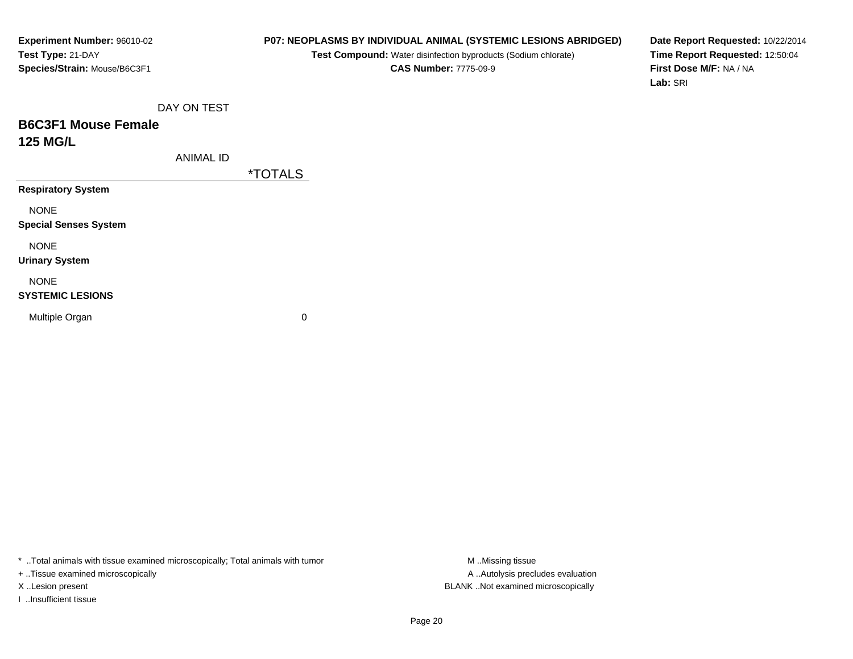## **P07: NEOPLASMS BY INDIVIDUAL ANIMAL (SYSTEMIC LESIONS ABRIDGED)**

**Test Compound:** Water disinfection byproducts (Sodium chlorate)**CAS Number:** 7775-09-9

**Date Report Requested:** 10/22/2014**Time Report Requested:** 12:50:04**First Dose M/F:** NA / NA**Lab:** SRI

DAY ON TEST

## **B6C3F1 Mouse Female125 MG/L**

ANIMAL ID

\*TOTALS

**Respiratory System**

NONE

**Special Senses System**

NONE

**Urinary System**

NONE

#### **SYSTEMIC LESIONS**

Multiple Organ

 $\mathbf n$  0

\* ..Total animals with tissue examined microscopically; Total animals with tumor **M** ..Missing tissue M ..Missing tissue

+ ..Tissue examined microscopically

I ..Insufficient tissue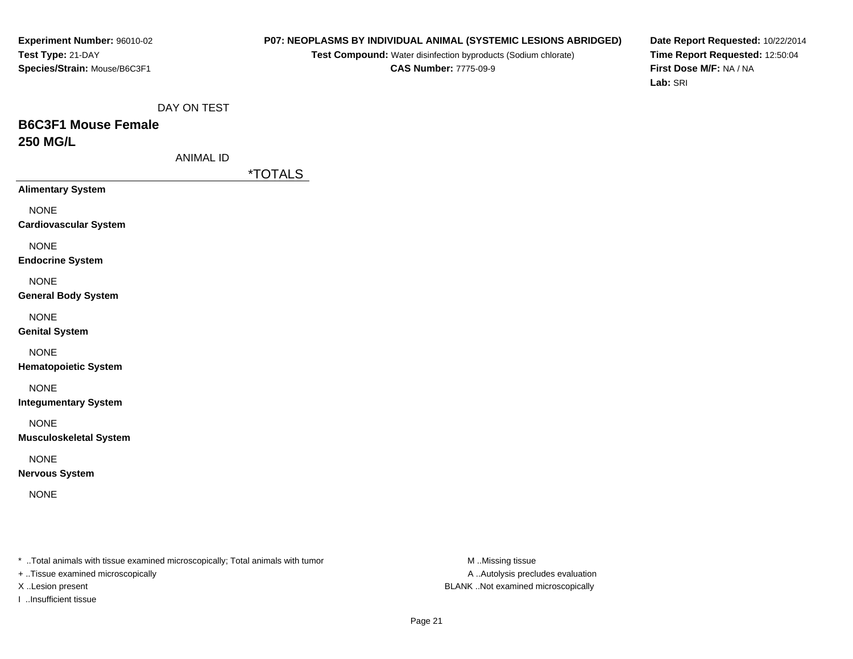#### **P07: NEOPLASMS BY INDIVIDUAL ANIMAL (SYSTEMIC LESIONS ABRIDGED)**

**Test Compound:** Water disinfection byproducts (Sodium chlorate)**CAS Number:** 7775-09-9

**Date Report Requested:** 10/22/2014**Time Report Requested:** 12:50:04**First Dose M/F:** NA / NA**Lab:** SRI

DAY ON TEST

# **B6C3F1 Mouse Female250 MG/L**

ANIMAL ID

\*TOTALS

**Alimentary System**

NONE

**Cardiovascular System**

NONE

**Endocrine System**

NONE

**General Body System**

NONE

**Genital System**

NONE

**Hematopoietic System**

NONE

**Integumentary System**

NONE

**Musculoskeletal System**

NONE

**Nervous System**

NONE

\* ..Total animals with tissue examined microscopically; Total animals with tumor **M** ..Missing tissue M ..Missing tissue

+ ..Tissue examined microscopically

I ..Insufficient tissue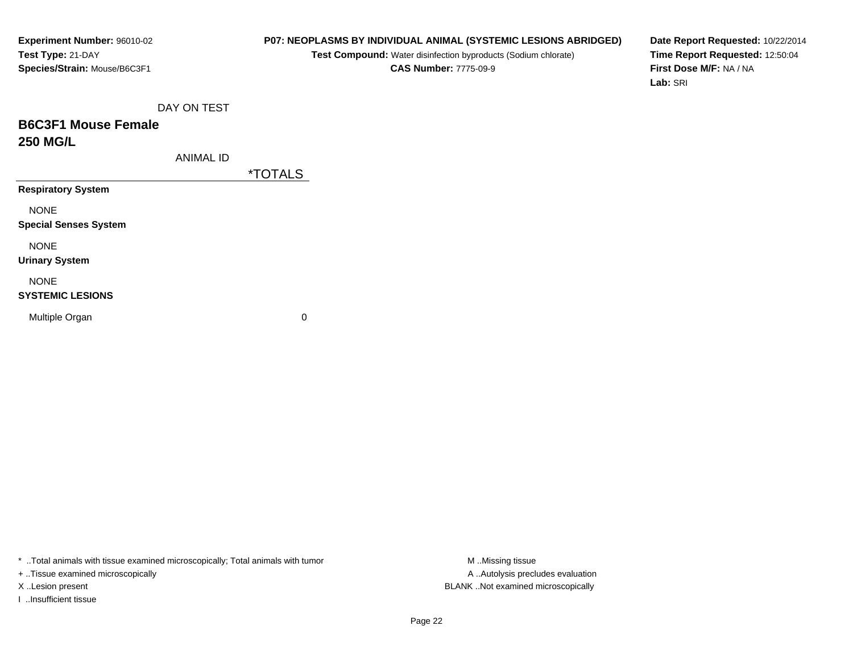## **P07: NEOPLASMS BY INDIVIDUAL ANIMAL (SYSTEMIC LESIONS ABRIDGED)**

**Test Compound:** Water disinfection byproducts (Sodium chlorate)**CAS Number:** 7775-09-9

**Date Report Requested:** 10/22/2014**Time Report Requested:** 12:50:04**First Dose M/F:** NA / NA**Lab:** SRI

DAY ON TEST

## **B6C3F1 Mouse Female250 MG/L**

ANIMAL ID

\*TOTALS

**Respiratory System**

NONE

**Special Senses System**

NONE

**Urinary System**

NONE

#### **SYSTEMIC LESIONS**

Multiple Organ

 $\mathbf n$  0

\* ..Total animals with tissue examined microscopically; Total animals with tumor **M** ..Missing tissue M ..Missing tissue

+ ..Tissue examined microscopically

I ..Insufficient tissue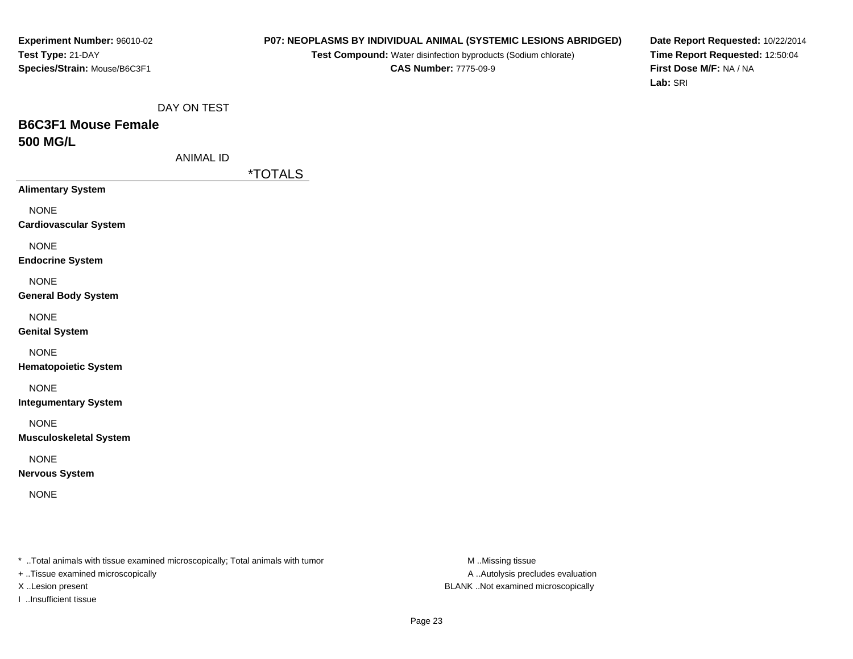#### **P07: NEOPLASMS BY INDIVIDUAL ANIMAL (SYSTEMIC LESIONS ABRIDGED)**

**Test Compound:** Water disinfection byproducts (Sodium chlorate)**CAS Number:** 7775-09-9

**Date Report Requested:** 10/22/2014**Time Report Requested:** 12:50:04**First Dose M/F:** NA / NA**Lab:** SRI

DAY ON TEST

# **B6C3F1 Mouse Female500 MG/L**

ANIMAL ID

\*TOTALS

**Alimentary System**

NONE

**Cardiovascular System**

NONE

**Endocrine System**

NONE

**General Body System**

NONE

**Genital System**

NONE

**Hematopoietic System**

NONE

**Integumentary System**

NONE

**Musculoskeletal System**

NONE

**Nervous System**

NONE

\* ..Total animals with tissue examined microscopically; Total animals with tumor **M** ..Missing tissue M ..Missing tissue

+ ..Tissue examined microscopically

I ..Insufficient tissue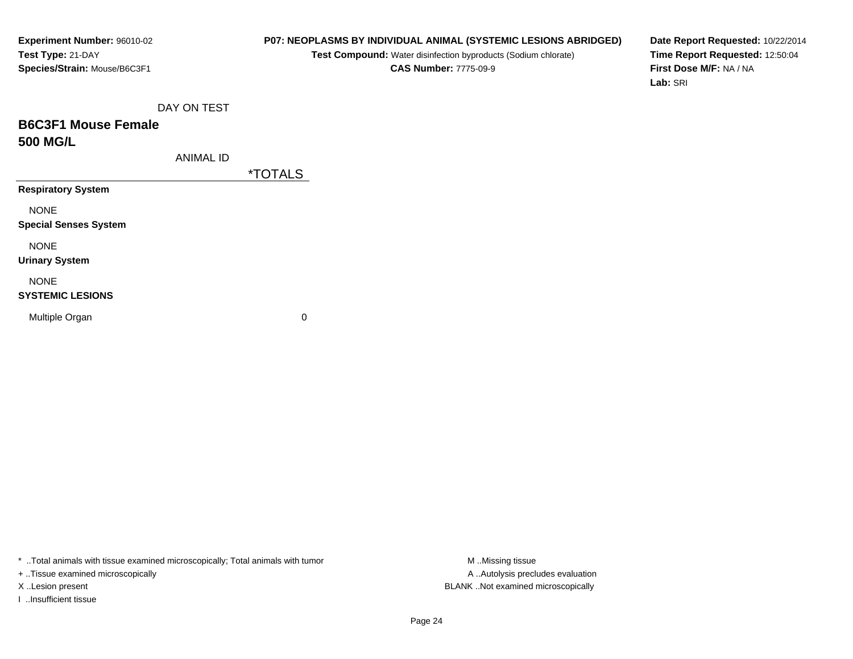## **P07: NEOPLASMS BY INDIVIDUAL ANIMAL (SYSTEMIC LESIONS ABRIDGED)**

**Test Compound:** Water disinfection byproducts (Sodium chlorate)**CAS Number:** 7775-09-9

**Date Report Requested:** 10/22/2014**Time Report Requested:** 12:50:04**First Dose M/F:** NA / NA**Lab:** SRI

DAY ON TEST

## **B6C3F1 Mouse Female500 MG/L**

ANIMAL ID

\*TOTALS

**Respiratory System**

NONE

**Special Senses System**

NONE

**Urinary System**

NONE

#### **SYSTEMIC LESIONS**

Multiple Organ

 $\mathbf n$  0

\* ..Total animals with tissue examined microscopically; Total animals with tumor **M** ..Missing tissue M ..Missing tissue

+ ..Tissue examined microscopically

I ..Insufficient tissue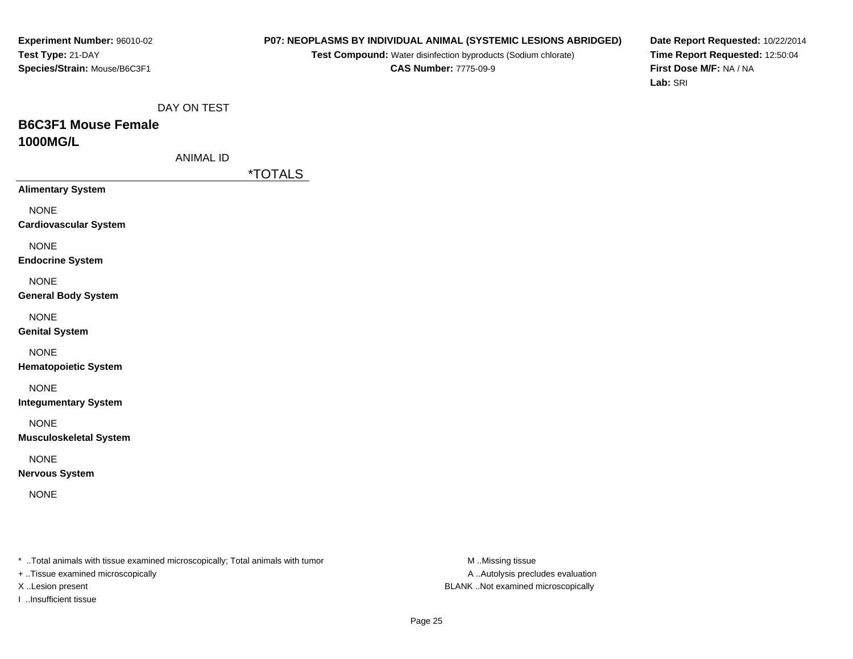#### **P07: NEOPLASMS BY INDIVIDUAL ANIMAL (SYSTEMIC LESIONS ABRIDGED)**

**Test Compound:** Water disinfection byproducts (Sodium chlorate)**CAS Number:** 7775-09-9

**Date Report Requested:** 10/22/2014**Time Report Requested:** 12:50:04**First Dose M/F:** NA / NA**Lab:** SRI

DAY ON TEST

## **B6C3F1 Mouse Female1000MG/L**

ANIMAL ID

\*TOTALS

**Alimentary System**

NONE

**Cardiovascular System**

NONE

**Endocrine System**

NONE

**General Body System**

NONE

**Genital System**

NONE

**Hematopoietic System**

NONE

**Integumentary System**

NONE

**Musculoskeletal System**

NONE

**Nervous System**

NONE

\* ..Total animals with tissue examined microscopically; Total animals with tumor **M** ..Missing tissue M ..Missing tissue

+ ..Tissue examined microscopically

I ..Insufficient tissue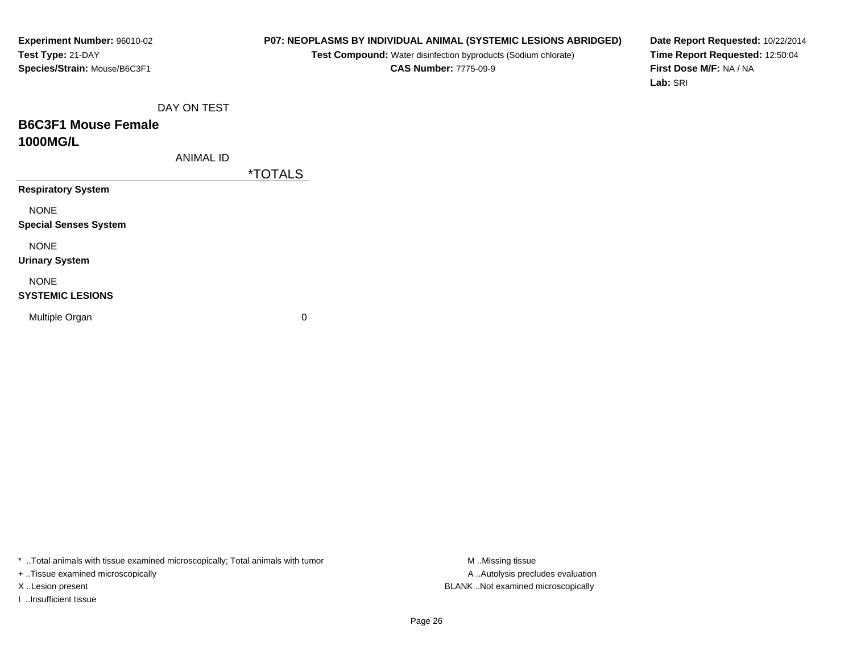## **P07: NEOPLASMS BY INDIVIDUAL ANIMAL (SYSTEMIC LESIONS ABRIDGED)**

**Test Compound:** Water disinfection byproducts (Sodium chlorate)**CAS Number:** 7775-09-9

**Date Report Requested:** 10/22/2014**Time Report Requested:** 12:50:04**First Dose M/F:** NA / NA**Lab:** SRI

DAY ON TEST

## **B6C3F1 Mouse Female1000MG/L**

ANIMAL ID

\*TOTALS

**Respiratory System**

NONE

**Special Senses System**

NONE

**Urinary System**

NONE

#### **SYSTEMIC LESIONS**

Multiple Organ

 $\mathbf n$  0

\* ..Total animals with tissue examined microscopically; Total animals with tumor **M** ..Missing tissue M ..Missing tissue

+ ..Tissue examined microscopically

I ..Insufficient tissue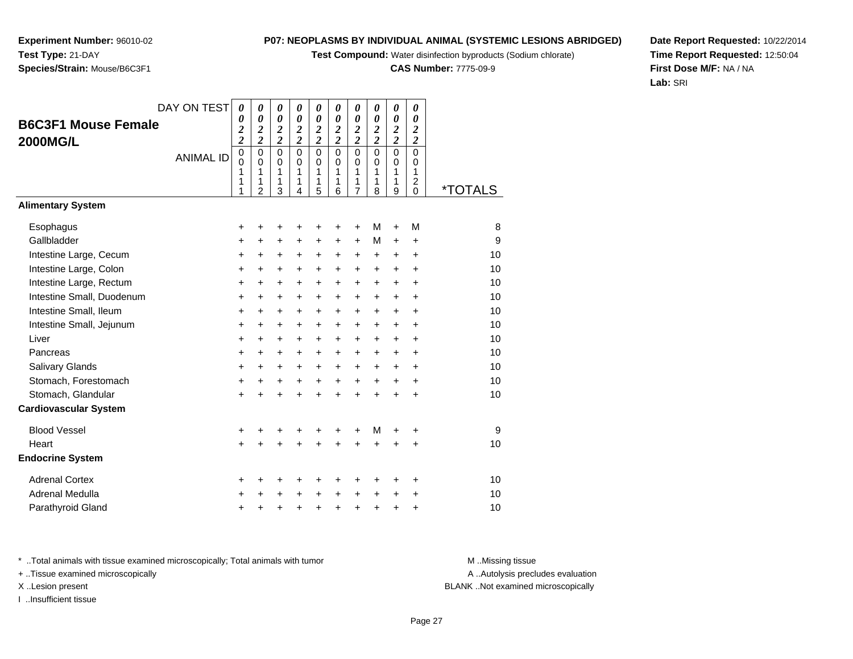**Test Compound:** Water disinfection byproducts (Sodium chlorate)

**CAS Number:** 7775-09-9

**Date Report Requested:** 10/22/2014**Time Report Requested:** 12:50:04**First Dose M/F:** NA / NA**Lab:** SRI

**Experiment Number:** 96010-02**Test Type:** 21-DAY**Species/Strain:** Mouse/B6C3F1

|                              | DAY ON TEST      | $\boldsymbol{\theta}$                   | 0                                 | 0                          | 0                                 | 0                          | 0                                    | 0                                    | 0                                       | 0                                    | 0                                                |                       |
|------------------------------|------------------|-----------------------------------------|-----------------------------------|----------------------------|-----------------------------------|----------------------------|--------------------------------------|--------------------------------------|-----------------------------------------|--------------------------------------|--------------------------------------------------|-----------------------|
| <b>B6C3F1 Mouse Female</b>   |                  | 0                                       | 0                                 | 0                          | $\boldsymbol{\theta}$             | 0                          | $\boldsymbol{\theta}$                | $\boldsymbol{\theta}$                | 0                                       | 0                                    | 0                                                |                       |
| 2000MG/L                     |                  | $\frac{2}{2}$                           | $\frac{2}{2}$                     | $\frac{2}{2}$              | $\frac{2}{2}$                     | $\frac{2}{2}$              | $\frac{2}{2}$                        | $\frac{2}{2}$                        | $\frac{2}{2}$                           | $\frac{2}{2}$                        | $\frac{2}{2}$                                    |                       |
|                              | <b>ANIMAL ID</b> | $\mathbf 0$<br>$\overline{0}$<br>1<br>1 | $\mathbf 0$<br>$\Omega$<br>1<br>1 | $\mathbf 0$<br>0<br>1<br>1 | $\mathbf 0$<br>$\Omega$<br>1<br>1 | 0<br>$\mathbf 0$<br>1<br>1 | $\overline{0}$<br>$\Omega$<br>1<br>1 | $\mathbf 0$<br>$\mathbf 0$<br>1<br>1 | $\overline{0}$<br>$\mathbf 0$<br>1<br>1 | $\mathbf 0$<br>$\mathbf 0$<br>1<br>1 | $\mathbf 0$<br>0<br>1<br>$\overline{\mathbf{c}}$ |                       |
| <b>Alimentary System</b>     |                  | 1                                       | $\overline{2}$                    | 3                          | 4                                 | 5                          | 6                                    | $\overline{7}$                       | 8                                       | 9                                    | $\Omega$                                         | <i><b>*TOTALS</b></i> |
|                              |                  |                                         |                                   |                            |                                   |                            |                                      |                                      |                                         |                                      |                                                  |                       |
| Esophagus                    |                  | $\ddot{}$                               | +                                 | ٠                          |                                   | +                          | ٠                                    | $\ddot{}$                            | М                                       | $\ddot{}$                            | M                                                | 8                     |
| Gallbladder                  |                  | +                                       | +                                 | +                          | +                                 | +                          | $\ddot{}$                            | $\ddot{}$                            | M                                       | $\ddot{}$                            | +                                                | 9                     |
| Intestine Large, Cecum       |                  | $\ddot{}$                               | $\ddot{}$                         | +                          | $\ddot{}$                         | +                          | $\ddot{}$                            | +                                    | $\ddot{}$                               | $\ddot{}$                            | $\ddot{}$                                        | 10                    |
| Intestine Large, Colon       |                  | $\ddot{}$                               | $\ddot{}$                         | $\ddot{}$                  | $\ddot{}$                         | $\ddot{}$                  | $\ddot{}$                            | $\ddot{}$                            | $\ddot{}$                               | $\ddot{}$                            | $\ddot{}$                                        | 10                    |
| Intestine Large, Rectum      |                  | $\ddot{}$                               | $\ddot{}$                         | $\ddot{}$                  | $\ddot{}$                         | $\ddot{}$                  | $\ddot{}$                            | $\ddot{}$                            | $\ddot{}$                               | $\ddot{}$                            | $\ddot{}$                                        | 10                    |
| Intestine Small, Duodenum    |                  | $\ddot{}$                               | $\ddot{}$                         | $\ddot{}$                  | $\ddot{}$                         | $\ddot{}$                  | $\ddot{}$                            | $\ddot{}$                            | $\ddot{}$                               | $\ddot{}$                            | $\ddot{}$                                        | 10                    |
| Intestine Small, Ileum       |                  | $\ddot{}$                               | $\pm$                             | +                          | +                                 | $\ddot{}$                  | $\ddot{}$                            | +                                    | $\ddot{}$                               | $\ddot{}$                            | $\ddot{}$                                        | 10                    |
| Intestine Small, Jejunum     |                  | +                                       | $\ddot{}$                         | $\ddot{}$                  | $\ddot{}$                         | $\ddot{}$                  | $\ddot{}$                            | $\ddot{}$                            | +                                       | $\ddot{}$                            | $\ddot{}$                                        | 10                    |
| Liver                        |                  | $\ddot{}$                               | $\ddot{}$                         | $\ddot{}$                  | $\ddot{}$                         | $+$                        | $\ddot{}$                            | $\ddot{}$                            | $\ddot{}$                               | $\ddot{}$                            | $\ddot{}$                                        | 10                    |
| Pancreas                     |                  | $\ddot{}$                               | $\ddot{}$                         | +                          | $\ddot{}$                         | $\ddot{}$                  | +                                    | +                                    | +                                       | +                                    | +                                                | 10                    |
| Salivary Glands              |                  | $\ddot{}$                               | $+$                               | $\ddot{}$                  | $\ddot{}$                         | $+$                        | $\ddot{}$                            | +                                    | $\ddot{}$                               | $\ddot{}$                            | $\ddot{}$                                        | 10                    |
| Stomach, Forestomach         |                  | $\ddot{}$                               | $\ddot{}$                         | $\ddot{}$                  | $\ddot{}$                         | $\ddot{}$                  | $\ddot{}$                            | $\ddot{}$                            | $\ddot{}$                               | $\ddot{}$                            | $\ddot{}$                                        | 10                    |
| Stomach, Glandular           |                  | $\ddot{}$                               | $\ddot{}$                         | $\ddot{}$                  | $\ddot{}$                         | $\ddot{}$                  | $\ddot{}$                            | $\ddot{}$                            | $\ddot{}$                               | $\ddot{}$                            | $\ddot{}$                                        | 10                    |
| <b>Cardiovascular System</b> |                  |                                         |                                   |                            |                                   |                            |                                      |                                      |                                         |                                      |                                                  |                       |
| <b>Blood Vessel</b>          |                  | +                                       | +                                 | +                          | +                                 | +                          | +                                    | +                                    | M                                       | +                                    | +                                                | 9                     |
| Heart                        |                  | $\ddot{}$                               |                                   | $\ddot{}$                  | $\ddot{}$                         | ÷                          | $\ddot{}$                            | $\ddot{}$                            | $\ddot{}$                               | ÷                                    | $\ddot{}$                                        | 10                    |
| <b>Endocrine System</b>      |                  |                                         |                                   |                            |                                   |                            |                                      |                                      |                                         |                                      |                                                  |                       |
| <b>Adrenal Cortex</b>        |                  | +                                       | ٠                                 | ٠                          |                                   | ٠                          | +                                    | +                                    | +                                       | ٠                                    | +                                                | 10                    |
| <b>Adrenal Medulla</b>       |                  | +                                       | +                                 | +                          | +                                 | $\pm$                      | $\ddot{}$                            | $\ddot{}$                            | $\pm$                                   | +                                    | $\ddot{}$                                        | 10                    |
| Parathyroid Gland            |                  | +                                       | +                                 | +                          | +                                 | +                          | +                                    | $\pmb{+}$                            | $\ddot{}$                               | $\ddot{}$                            | +                                                | 10                    |

\* ..Total animals with tissue examined microscopically; Total animals with tumor **M** . Missing tissue M ..Missing tissue

+ ..Tissue examined microscopically

I ..Insufficient tissue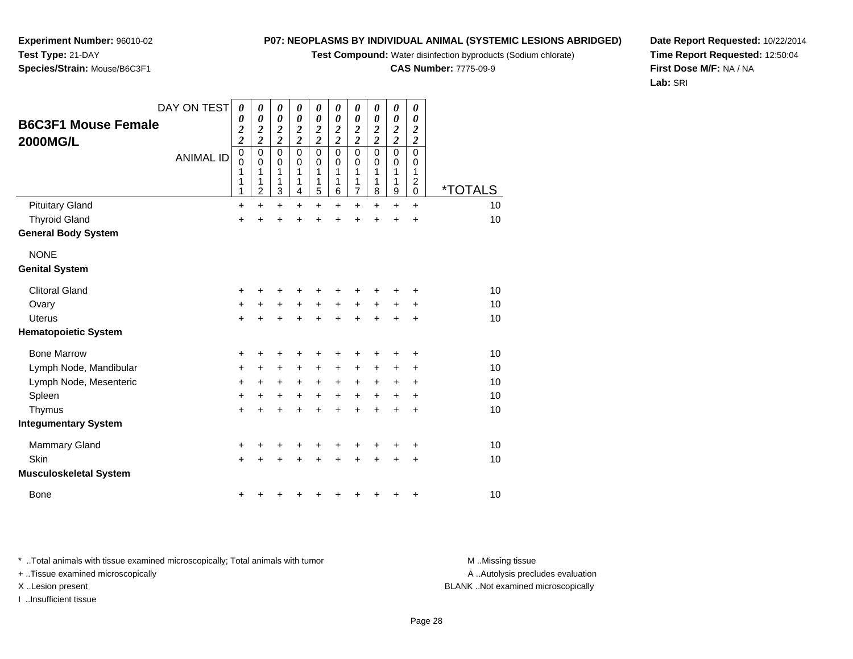**Test Compound:** Water disinfection byproducts (Sodium chlorate)

**CAS Number:** 7775-09-9

*00*

**Date Report Requested:** 10/22/2014**Time Report Requested:** 12:50:04**First Dose M/F:** NA / NA**Lab:** SRI

\* ..Total animals with tissue examined microscopically; Total animals with tumor

+ ..Tissue examined microscopically

I ..Insufficient tissue

| Test Type: 21-DAY            |                         |  |
|------------------------------|-------------------------|--|
| Species/Strain: Mouse/B6C3F1 |                         |  |
|                              |                         |  |
|                              |                         |  |
|                              | DAY ON TEST $\boxed{0}$ |  |

**Experiment Number:** 96010-02

|                               | DAY ON TEST      | 0                                | 0                                            | 0                               | 0                               | 0                               | 0                               | 0                                            | 0                                         | 0                                                      | 0                                                               |                       |  |
|-------------------------------|------------------|----------------------------------|----------------------------------------------|---------------------------------|---------------------------------|---------------------------------|---------------------------------|----------------------------------------------|-------------------------------------------|--------------------------------------------------------|-----------------------------------------------------------------|-----------------------|--|
| <b>B6C3F1 Mouse Female</b>    |                  | 0<br>$\overline{\mathbf{c}}$     | $\boldsymbol{\theta}$                        | $\boldsymbol{\theta}$           | 0                               | 0<br>$\boldsymbol{2}$           | 0                               | $\boldsymbol{\theta}$<br>$\boldsymbol{2}$    | 0                                         | $\boldsymbol{\theta}$                                  | 0<br>$\boldsymbol{2}$                                           |                       |  |
| <b>2000MG/L</b>               |                  | $\overline{c}$                   | $\frac{2}{2}$                                | $\frac{2}{2}$                   | $\frac{2}{2}$                   | $\overline{2}$                  | $\frac{2}{2}$                   | $\overline{2}$                               | $\frac{2}{2}$                             | $\frac{2}{2}$                                          | $\overline{2}$                                                  |                       |  |
|                               | <b>ANIMAL ID</b> | 0<br>$\mathbf{0}$<br>1<br>1<br>1 | $\mathbf 0$<br>0<br>1<br>1<br>$\overline{c}$ | $\mathbf 0$<br>0<br>1<br>1<br>3 | $\mathbf 0$<br>0<br>1<br>1<br>4 | $\mathbf 0$<br>0<br>1<br>1<br>5 | $\mathsf 0$<br>0<br>1<br>1<br>6 | $\mathbf 0$<br>0<br>1<br>1<br>$\overline{7}$ | $\mathbf 0$<br>0<br>1<br>$\mathbf 1$<br>8 | $\mathbf 0$<br>$\pmb{0}$<br>1<br>1<br>$\boldsymbol{9}$ | $\overline{0}$<br>0<br>1<br>$\overline{\mathbf{c}}$<br>$\Omega$ | <i><b>*TOTALS</b></i> |  |
| <b>Pituitary Gland</b>        |                  | $\ddot{}$                        | $\ddot{}$                                    | $\ddot{}$                       | $\ddot{}$                       | $\ddot{}$                       | $\ddot{}$                       | $\ddot{}$                                    | $\ddot{}$                                 | $\ddot{}$                                              | $\ddot{}$                                                       | 10                    |  |
| <b>Thyroid Gland</b>          |                  | $\ddot{}$                        | $\ddot{}$                                    | +                               | +                               | $\ddot{}$                       | +                               | +                                            | $\ddot{}$                                 | +                                                      | $\ddot{}$                                                       | 10                    |  |
| <b>General Body System</b>    |                  |                                  |                                              |                                 |                                 |                                 |                                 |                                              |                                           |                                                        |                                                                 |                       |  |
| <b>NONE</b>                   |                  |                                  |                                              |                                 |                                 |                                 |                                 |                                              |                                           |                                                        |                                                                 |                       |  |
| <b>Genital System</b>         |                  |                                  |                                              |                                 |                                 |                                 |                                 |                                              |                                           |                                                        |                                                                 |                       |  |
| <b>Clitoral Gland</b>         |                  | +                                | +                                            |                                 | +                               |                                 | +                               |                                              |                                           | +                                                      | +                                                               | 10                    |  |
| Ovary                         |                  | +                                | +                                            | +                               | +                               | +                               | $\ddot{}$                       | +                                            | +                                         | +                                                      | +                                                               | 10                    |  |
| <b>Uterus</b>                 |                  | $\ddot{}$                        | $\ddot{}$                                    | $\ddot{}$                       | $\ddot{}$                       | $\ddot{}$                       | $\ddot{}$                       | $\ddot{}$                                    | $\ddot{}$                                 | +                                                      | +                                                               | 10                    |  |
| <b>Hematopoietic System</b>   |                  |                                  |                                              |                                 |                                 |                                 |                                 |                                              |                                           |                                                        |                                                                 |                       |  |
| <b>Bone Marrow</b>            |                  | +                                | +                                            | +                               | +                               | +                               | +                               | +                                            | +                                         | +                                                      | $\ddot{}$                                                       | 10                    |  |
| Lymph Node, Mandibular        |                  | $\ddot{}$                        | $\ddot{}$                                    | $\ddot{}$                       | $\ddot{}$                       | $\ddot{}$                       | $\ddot{}$                       | $\ddot{}$                                    | +                                         | +                                                      | $\ddot{}$                                                       | 10                    |  |
| Lymph Node, Mesenteric        |                  | $\ddot{}$                        | $\ddot{}$                                    | +                               | $\ddot{}$                       | $\ddot{}$                       | $\ddot{}$                       | $\ddot{}$                                    | +                                         | $\ddot{}$                                              | $\ddot{}$                                                       | 10                    |  |
| Spleen                        |                  | $\ddot{}$                        | $\ddot{}$                                    | $\ddot{}$                       | $\ddot{}$                       | $\ddot{}$                       | $+$                             | $\ddot{}$                                    | $\ddot{}$                                 | $\ddot{}$                                              | $\ddot{}$                                                       | 10                    |  |
| Thymus                        |                  | $\ddot{}$                        | +                                            | +                               | $\ddot{}$                       | ÷                               | $\ddot{}$                       | ÷                                            | $\ddot{}$                                 | $\ddot{}$                                              | $\ddot{}$                                                       | 10                    |  |
| <b>Integumentary System</b>   |                  |                                  |                                              |                                 |                                 |                                 |                                 |                                              |                                           |                                                        |                                                                 |                       |  |
| <b>Mammary Gland</b>          |                  | +                                | +                                            |                                 | +                               | +                               | +                               | +                                            |                                           | +                                                      | +                                                               | 10                    |  |
| Skin                          |                  | $\ddot{}$                        | $\ddot{}$                                    | +                               | $\ddot{}$                       | $\ddot{}$                       | +                               | $\ddot{}$                                    | $\ddot{}$                                 | $\ddot{}$                                              | $\ddot{}$                                                       | 10                    |  |
| <b>Musculoskeletal System</b> |                  |                                  |                                              |                                 |                                 |                                 |                                 |                                              |                                           |                                                        |                                                                 |                       |  |
| <b>Bone</b>                   |                  | $\ddot{}$                        |                                              |                                 |                                 |                                 |                                 |                                              |                                           | ٠                                                      | $\ddot{}$                                                       | 10                    |  |

A .. Autolysis precludes evaluation